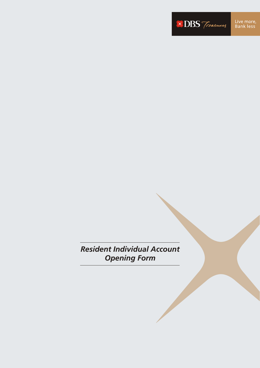**XDBS** Treasures

*Resident Individual Account Opening Form*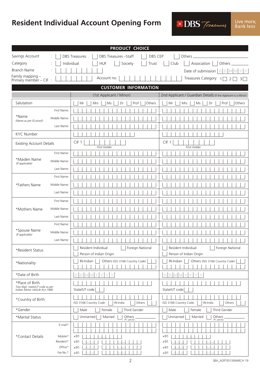# **Resident Individual Account Opening Form**

**XDBS** Treasures

| Savings Account<br>DBS Treasures - Staff<br>DBS CEP<br><b>DBS Treasures</b><br>Others<br>Individual<br><b>HUF</b><br>Society<br>Club<br>Association<br>Category<br>Trust<br><b>Branch Name</b><br>Date of submission<br>Family mapping -<br><b>Treasures Category</b><br>Account no.<br>$\overline{1}$<br>Primary member - CIF :<br><b>CUSTOMER INFORMATION</b><br>2nd Applicant / Guardian Details (If the Applicant is a Minor)<br>(1st Applicant / Minor)<br>Salutation<br>Ms<br>Prof<br>Others<br>Mrs<br>Dr<br>Mrs<br>Ms<br>Dr<br>Mr<br>Mr<br>First Name:<br>*Name<br>Middle Name:<br>(Name as per ID proof)<br>Last Name:<br><b>KYC Number</b><br>CIF <sub>1</sub><br>CIF <sub>1</sub><br><b>Existing Account Details</b><br><b>First Holder</b><br><b>First Holder</b><br>First Name:<br>*Maiden Name<br>Middle Name:<br>(If applicable)<br>Last Name:<br>First Name:<br>Middle Name:<br>*Fathers Name<br>Last Name:<br>First Name:<br>Middle Name:<br>*Mothers Name<br>Last Name: |                  |
|------------------------------------------------------------------------------------------------------------------------------------------------------------------------------------------------------------------------------------------------------------------------------------------------------------------------------------------------------------------------------------------------------------------------------------------------------------------------------------------------------------------------------------------------------------------------------------------------------------------------------------------------------------------------------------------------------------------------------------------------------------------------------------------------------------------------------------------------------------------------------------------------------------------------------------------------------------------------------------------|------------------|
|                                                                                                                                                                                                                                                                                                                                                                                                                                                                                                                                                                                                                                                                                                                                                                                                                                                                                                                                                                                          |                  |
|                                                                                                                                                                                                                                                                                                                                                                                                                                                                                                                                                                                                                                                                                                                                                                                                                                                                                                                                                                                          | Others           |
|                                                                                                                                                                                                                                                                                                                                                                                                                                                                                                                                                                                                                                                                                                                                                                                                                                                                                                                                                                                          | $D$ $D$ $M$      |
|                                                                                                                                                                                                                                                                                                                                                                                                                                                                                                                                                                                                                                                                                                                                                                                                                                                                                                                                                                                          | 2<br>$\vert$ 3   |
|                                                                                                                                                                                                                                                                                                                                                                                                                                                                                                                                                                                                                                                                                                                                                                                                                                                                                                                                                                                          |                  |
|                                                                                                                                                                                                                                                                                                                                                                                                                                                                                                                                                                                                                                                                                                                                                                                                                                                                                                                                                                                          |                  |
|                                                                                                                                                                                                                                                                                                                                                                                                                                                                                                                                                                                                                                                                                                                                                                                                                                                                                                                                                                                          | Prof<br>Others   |
|                                                                                                                                                                                                                                                                                                                                                                                                                                                                                                                                                                                                                                                                                                                                                                                                                                                                                                                                                                                          |                  |
|                                                                                                                                                                                                                                                                                                                                                                                                                                                                                                                                                                                                                                                                                                                                                                                                                                                                                                                                                                                          |                  |
|                                                                                                                                                                                                                                                                                                                                                                                                                                                                                                                                                                                                                                                                                                                                                                                                                                                                                                                                                                                          |                  |
|                                                                                                                                                                                                                                                                                                                                                                                                                                                                                                                                                                                                                                                                                                                                                                                                                                                                                                                                                                                          |                  |
|                                                                                                                                                                                                                                                                                                                                                                                                                                                                                                                                                                                                                                                                                                                                                                                                                                                                                                                                                                                          |                  |
|                                                                                                                                                                                                                                                                                                                                                                                                                                                                                                                                                                                                                                                                                                                                                                                                                                                                                                                                                                                          |                  |
|                                                                                                                                                                                                                                                                                                                                                                                                                                                                                                                                                                                                                                                                                                                                                                                                                                                                                                                                                                                          |                  |
|                                                                                                                                                                                                                                                                                                                                                                                                                                                                                                                                                                                                                                                                                                                                                                                                                                                                                                                                                                                          |                  |
|                                                                                                                                                                                                                                                                                                                                                                                                                                                                                                                                                                                                                                                                                                                                                                                                                                                                                                                                                                                          |                  |
|                                                                                                                                                                                                                                                                                                                                                                                                                                                                                                                                                                                                                                                                                                                                                                                                                                                                                                                                                                                          |                  |
|                                                                                                                                                                                                                                                                                                                                                                                                                                                                                                                                                                                                                                                                                                                                                                                                                                                                                                                                                                                          |                  |
|                                                                                                                                                                                                                                                                                                                                                                                                                                                                                                                                                                                                                                                                                                                                                                                                                                                                                                                                                                                          |                  |
|                                                                                                                                                                                                                                                                                                                                                                                                                                                                                                                                                                                                                                                                                                                                                                                                                                                                                                                                                                                          |                  |
|                                                                                                                                                                                                                                                                                                                                                                                                                                                                                                                                                                                                                                                                                                                                                                                                                                                                                                                                                                                          |                  |
| First Name:                                                                                                                                                                                                                                                                                                                                                                                                                                                                                                                                                                                                                                                                                                                                                                                                                                                                                                                                                                              |                  |
| *Spouse Name<br>Middle Name:<br>(If applicable)                                                                                                                                                                                                                                                                                                                                                                                                                                                                                                                                                                                                                                                                                                                                                                                                                                                                                                                                          |                  |
| Last Name:                                                                                                                                                                                                                                                                                                                                                                                                                                                                                                                                                                                                                                                                                                                                                                                                                                                                                                                                                                               |                  |
| Resident Individual<br>Foreign National<br>Resident Individual<br>*Resident Status                                                                                                                                                                                                                                                                                                                                                                                                                                                                                                                                                                                                                                                                                                                                                                                                                                                                                                       | Foreign National |
| Person of Indian Origin<br>Person of Indian Origin                                                                                                                                                                                                                                                                                                                                                                                                                                                                                                                                                                                                                                                                                                                                                                                                                                                                                                                                       |                  |
| IN-Indian<br>Others (ISO 3166 Country Code)<br>IN-Indian<br>Others (ISO 3166 Country Code)<br>*Nationality                                                                                                                                                                                                                                                                                                                                                                                                                                                                                                                                                                                                                                                                                                                                                                                                                                                                               |                  |
| *Date of Birth<br>Y<br>D<br>Υ<br>D.<br>D.<br>МI<br>M<br>D.<br>MI                                                                                                                                                                                                                                                                                                                                                                                                                                                                                                                                                                                                                                                                                                                                                                                                                                                                                                                         |                  |
| *Place of Birth<br>Two digit -state/UT code as per<br>Indian Motor Vehicle Act, 1988<br>State/UT code<br>State/UT code                                                                                                                                                                                                                                                                                                                                                                                                                                                                                                                                                                                                                                                                                                                                                                                                                                                                   |                  |
| *Country of Birth<br>ISO 3166 Country Code:<br>IN-India<br>Others<br>ISO 3166 Country Code:<br>IN-India                                                                                                                                                                                                                                                                                                                                                                                                                                                                                                                                                                                                                                                                                                                                                                                                                                                                                  | Others           |
| *Gender<br>Third Gender<br>Third Gender<br>Male<br>Female<br>Male<br>Female                                                                                                                                                                                                                                                                                                                                                                                                                                                                                                                                                                                                                                                                                                                                                                                                                                                                                                              |                  |
| Unmarried<br>Unmarried<br>*Marital Status<br>Married<br>Others<br>Married<br>Others<br>(Pl. specify)<br>(Pl. specify)                                                                                                                                                                                                                                                                                                                                                                                                                                                                                                                                                                                                                                                                                                                                                                                                                                                                    |                  |
| E-mail*:                                                                                                                                                                                                                                                                                                                                                                                                                                                                                                                                                                                                                                                                                                                                                                                                                                                                                                                                                                                 |                  |
| $+91$<br>$+91$<br>*Contact Details<br>Mobile*:<br>Resident*:<br>$+91$<br>$+91$<br>Office*:<br>$+91$<br>$+91$<br>Fax No.*:<br>$+91$<br>$+91$                                                                                                                                                                                                                                                                                                                                                                                                                                                                                                                                                                                                                                                                                                                                                                                                                                              |                  |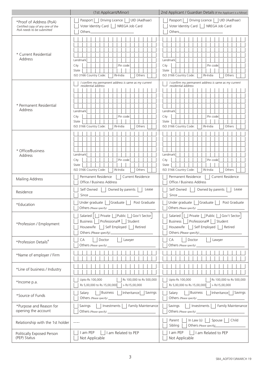|                                                                                          | (1st Applicant/Minor)                                                                                                                                                | 2nd Applicant / Guardian Details (If the Applicant is a Minor)                                                                                                       |
|------------------------------------------------------------------------------------------|----------------------------------------------------------------------------------------------------------------------------------------------------------------------|----------------------------------------------------------------------------------------------------------------------------------------------------------------------|
| *Proof of Address (PoA)<br>Certified copy of any one of the<br>PoA needs to be submitted | Driving Licence     UID (Aadhaar)<br>Passport<br>Voter Identity Card   NREGA Job Card<br>Others_                                                                     | Driving Licence     UID (Aadhaar)<br>Passport<br>Voter Identity Card     NREGA Job Card<br>Others_                                                                   |
| * Current Residential<br>Address                                                         | Landmark<br>City<br>Pin code<br>State<br>ISO 3166 Country Code:<br>IN-India<br>Others                                                                                | Landmark<br>Pin code<br>City<br>State<br>ISO 3166 Country Code:<br>IN-India<br>Others                                                                                |
| * Permanent Residential<br>Address                                                       | I confirm my permanent address is same as my current<br>residential address<br>Landmark<br>City<br>Pin code<br>State<br>ISO 3166 Country Code:<br>IN-India<br>Others | I confirm my permanent address is same as my current<br>residential address<br>Landmark<br>Pin code<br>City<br>State<br>ISO 3166 Country Code:<br>IN-India<br>Others |
| * Office/Business<br>Address                                                             | Landmark<br>Pin code<br>City<br>State<br>ISO 3166 Country Code:<br>IN-India<br>Others                                                                                | Landmark<br>City<br>Pin code<br>State<br>ISO 3166 Country Code:<br>Others<br>IN-India                                                                                |
| Mailing Address                                                                          | Permanent Residence<br>Current Residence<br>Office / Business Address                                                                                                | Permanent Residence<br>Current Residence<br>Office / Business Address                                                                                                |
| Residence                                                                                | Owned by parents<br>Self Owned<br>Lease                                                                                                                              | Owned by parents<br>Self Owned<br>Lease                                                                                                                              |
| *Education                                                                               | Under graduate   Graduate  <br>Post Graduate<br>Others (Please specify)                                                                                              | Graduate<br>Under graduate<br>Post Graduate<br>    Others (Please specify) _                                                                                         |
| *Profession / Employment                                                                 | Salaried         Private       Public     Gov't Sector<br>Professional#   Student<br><b>Business</b><br>    Self Employed     Retired<br>Housewife                   | Salaried       Private     Public   Gov't Sector<br>Business     Professional#     Student<br>Housewife     Self Employed     Retired                                |
| *Profession Details#                                                                     | Lawyer<br>Doctor<br>CA<br>Others (Please specify)                                                                                                                    | Lawyer<br>Doctor<br>CA<br>Others (Please specify) ________                                                                                                           |
| *Name of employer / Firm                                                                 |                                                                                                                                                                      |                                                                                                                                                                      |
| *Line of business / Industry                                                             |                                                                                                                                                                      |                                                                                                                                                                      |
| *Income p.a.                                                                             | Rs 100,000 to Rs 500,000<br>Upto Rs 100,000<br>Rs 5,00,000 to Rs.15,00,000<br>$>$ Rs15,00,000                                                                        | Rs 100,000 to Rs 500,000<br>Upto Rs 100,000<br>Rs 5,00,000 to Rs.15,00,000<br>$>$ Rs15,00,000                                                                        |
| *Source of Funds                                                                         | Business<br>  Inheritance   Savings<br>Salary                                                                                                                        | Business<br>Salary  <br>Inheritance   Savings                                                                                                                        |
| *Purpose and Reason for<br>opening the account                                           | Investments     Family Maintenance<br>Savings                                                                                                                        | Savings     Investments     Family Maintenance                                                                                                                       |
| Relationship with the 1st holder                                                         | $\cdots$                                                                                                                                                             | Parent  <br>In Law $(s)$<br>Spouse   Child<br>Sibling<br>Others (Please specify)                                                                                     |
| Politically Exposed Person<br>(PEP) Status                                               | I am PEP<br>        am Related to PEP<br>Not Applicable                                                                                                              | I am PEP<br>      am Related to PEP<br>Not Applicable                                                                                                                |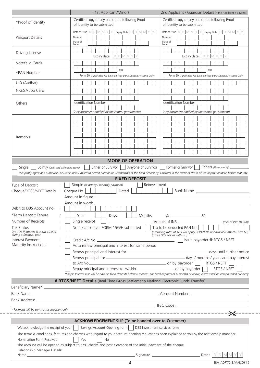|                                                                                                                                                                                                                                                                 | (1st Applicant/Minor)                                                                                                                                                                                                            | 2nd Applicant / Guardian Details (If the Applicant is a Minor)                                                                                                                                                                                                                                                                                                                                                       |
|-----------------------------------------------------------------------------------------------------------------------------------------------------------------------------------------------------------------------------------------------------------------|----------------------------------------------------------------------------------------------------------------------------------------------------------------------------------------------------------------------------------|----------------------------------------------------------------------------------------------------------------------------------------------------------------------------------------------------------------------------------------------------------------------------------------------------------------------------------------------------------------------------------------------------------------------|
| *Proof of Identity                                                                                                                                                                                                                                              | Certified copy of any one of the following Proof<br>of Identity to be submitted                                                                                                                                                  | Certified copy of any one of the following Proof<br>of Identity to be submitted                                                                                                                                                                                                                                                                                                                                      |
| Passport Details                                                                                                                                                                                                                                                | Date of Issue $D D M M Y Y$<br>Expiry Date $\boxed{\bigcirc}$ $\boxed{\bigcirc}$ $\boxed{\bigcirc}$ $\boxed{\bigcirc}$<br>Y.<br>Number<br>Place of                                                                               | Date of Issue $D$ $D$ $M$ $M$ $Y$ $Y$<br>Expiry Date $D$ $D$ $M$ $M$ $Y$ $Y$<br>Number<br>Place of                                                                                                                                                                                                                                                                                                                   |
| Driving License                                                                                                                                                                                                                                                 | Issue<br>Expiry date                                                                                                                                                                                                             | Issue<br>Expiry date                                                                                                                                                                                                                                                                                                                                                                                                 |
| Voter's Id Cards                                                                                                                                                                                                                                                |                                                                                                                                                                                                                                  |                                                                                                                                                                                                                                                                                                                                                                                                                      |
| *PAN Number                                                                                                                                                                                                                                                     | <b>OR</b><br>Form 60 (Applicable for Basic Savings Bank Deposit Account Only)                                                                                                                                                    | <b>OR</b><br>Form 60 (Applicable for Basic Savings Bank Deposit Account Only)                                                                                                                                                                                                                                                                                                                                        |
| UID (Aadhar)                                                                                                                                                                                                                                                    |                                                                                                                                                                                                                                  |                                                                                                                                                                                                                                                                                                                                                                                                                      |
| NREGA Job Card                                                                                                                                                                                                                                                  |                                                                                                                                                                                                                                  |                                                                                                                                                                                                                                                                                                                                                                                                                      |
| Others                                                                                                                                                                                                                                                          | Identification Number<br>(Any document notified by the central government)                                                                                                                                                       | <b>Identification Number</b><br>(Any document notified by the central government)                                                                                                                                                                                                                                                                                                                                    |
| Remarks                                                                                                                                                                                                                                                         |                                                                                                                                                                                                                                  |                                                                                                                                                                                                                                                                                                                                                                                                                      |
|                                                                                                                                                                                                                                                                 | <b>MODE OF OPERATION</b>                                                                                                                                                                                                         |                                                                                                                                                                                                                                                                                                                                                                                                                      |
| Single<br>Jointly (Debit card will not be issued)                                                                                                                                                                                                               | Either or Survivor<br>Anyone or Survivor                                                                                                                                                                                         | Former or Survivor<br>Others (Please specify) $\frac{1}{\sqrt{1-\frac{1}{2}}\sqrt{1-\frac{1}{2}}\sqrt{1-\frac{1}{2}}\sqrt{1-\frac{1}{2}}\sqrt{1-\frac{1}{2}}\sqrt{1-\frac{1}{2}}\sqrt{1-\frac{1}{2}}\sqrt{1-\frac{1}{2}}\sqrt{1-\frac{1}{2}}\sqrt{1-\frac{1}{2}}\sqrt{1-\frac{1}{2}}\sqrt{1-\frac{1}{2}}\sqrt{1-\frac{1}{2}}\sqrt{1-\frac{1}{2}}\sqrt{1-\frac{1}{2}}\sqrt{1-\frac{1}{2}}\sqrt{1-\frac{1}{2}}\sqrt{1$ |
|                                                                                                                                                                                                                                                                 | We jointly agree and authorize DBS Bank India Limited to permit premature withdrawals of the fixed deposit by survivorls in the event of death of the deposit holderls before maturity.<br><b>FIXED DEPOSIT</b>                  |                                                                                                                                                                                                                                                                                                                                                                                                                      |
| Type of Deposit                                                                                                                                                                                                                                                 | Simple (quarterly / monthly payment)<br>Reinvestment                                                                                                                                                                             |                                                                                                                                                                                                                                                                                                                                                                                                                      |
| Cheque/RTGS/NEFT Details :                                                                                                                                                                                                                                      | Cheque No<br>Dated                                                                                                                                                                                                               | Bank Name and the state of the state of the state of the state of the state of the state of the state of the state of the state of the state of the state of the state of the state of the state of the state of the state of                                                                                                                                                                                        |
|                                                                                                                                                                                                                                                                 |                                                                                                                                                                                                                                  |                                                                                                                                                                                                                                                                                                                                                                                                                      |
|                                                                                                                                                                                                                                                                 |                                                                                                                                                                                                                                  |                                                                                                                                                                                                                                                                                                                                                                                                                      |
| Debit to DBS Account no.                                                                                                                                                                                                                                        |                                                                                                                                                                                                                                  |                                                                                                                                                                                                                                                                                                                                                                                                                      |
| *Term Deposit Tenure                                                                                                                                                                                                                                            | Year<br>Months<br>Days                                                                                                                                                                                                           | $\omega$ $\sim$ $\omega$                                                                                                                                                                                                                                                                                                                                                                                             |
| Number of Receipts                                                                                                                                                                                                                                              | Single receipt                                                                                                                                                                                                                   | Tax to be deducted PAN No $\vert$ $\vert$ $\vert$ $\vert$                                                                                                                                                                                                                                                                                                                                                            |
| <b>Tax Status</b><br>(No TDS if interest is $<$ INR 10,000                                                                                                                                                                                                      | No tax at source, FORM 15G/H submitted                                                                                                                                                                                           | (prevailing rules of TDS will apply, if PAN No not available attach Form 60)<br>(on all FD's places with us )                                                                                                                                                                                                                                                                                                        |
| during a financial year<br>Interest Payment                                                                                                                                                                                                                     |                                                                                                                                                                                                                                  | Issue payorder @ RTGS / NEFT                                                                                                                                                                                                                                                                                                                                                                                         |
| Maturity Instructions                                                                                                                                                                                                                                           | Auto renew principal and interest for same period                                                                                                                                                                                |                                                                                                                                                                                                                                                                                                                                                                                                                      |
|                                                                                                                                                                                                                                                                 |                                                                                                                                                                                                                                  |                                                                                                                                                                                                                                                                                                                                                                                                                      |
|                                                                                                                                                                                                                                                                 |                                                                                                                                                                                                                                  |                                                                                                                                                                                                                                                                                                                                                                                                                      |
|                                                                                                                                                                                                                                                                 |                                                                                                                                                                                                                                  | RTGS / NEFT                                                                                                                                                                                                                                                                                                                                                                                                          |
|                                                                                                                                                                                                                                                                 | Repay principal and interest to A/c No <b>CONFIDENT</b> Or by payorder  <br>*Simple Interest rate will be paid on fixed deposits below 6 months. For fixed deposits of 6 months or above, interest will be compounded quarterly. | RTGS / NEFT                                                                                                                                                                                                                                                                                                                                                                                                          |
|                                                                                                                                                                                                                                                                 | # RTGS/NEFT Details (Real Time Gross Settlement/ National Electronic Funds Transfer)                                                                                                                                             |                                                                                                                                                                                                                                                                                                                                                                                                                      |
|                                                                                                                                                                                                                                                                 |                                                                                                                                                                                                                                  |                                                                                                                                                                                                                                                                                                                                                                                                                      |
|                                                                                                                                                                                                                                                                 |                                                                                                                                                                                                                                  |                                                                                                                                                                                                                                                                                                                                                                                                                      |
|                                                                                                                                                                                                                                                                 |                                                                                                                                                                                                                                  |                                                                                                                                                                                                                                                                                                                                                                                                                      |
|                                                                                                                                                                                                                                                                 |                                                                                                                                                                                                                                  |                                                                                                                                                                                                                                                                                                                                                                                                                      |
| * Payment will be sent to 1st applicant only                                                                                                                                                                                                                    |                                                                                                                                                                                                                                  |                                                                                                                                                                                                                                                                                                                                                                                                                      |
|                                                                                                                                                                                                                                                                 | <b>ACKNOWLEDGEMENT SLIP (To be handed over to Customer)</b>                                                                                                                                                                      |                                                                                                                                                                                                                                                                                                                                                                                                                      |
| We acknowledge the receipt of your                                                                                                                                                                                                                              | Savings Account Opening form<br>DBS Investment services form.                                                                                                                                                                    |                                                                                                                                                                                                                                                                                                                                                                                                                      |
|                                                                                                                                                                                                                                                                 | The terms & conditions, features and charges with regard to your account opening request has been explained to you by the relationship manager.                                                                                  |                                                                                                                                                                                                                                                                                                                                                                                                                      |
| Nomination Form Received                                                                                                                                                                                                                                        | Yes<br>No<br>The account will be opened as subject to KYC checks and post clearance of the initial payment of the cheque.                                                                                                        |                                                                                                                                                                                                                                                                                                                                                                                                                      |
| Relationship Manager Details:<br>Name and the contract of the contract of the contract of the contract of the contract of the contract of the contract of the contract of the contract of the contract of the contract of the contract of the contract of the c |                                                                                                                                                                                                                                  | <b>DIMN</b>                                                                                                                                                                                                                                                                                                                                                                                                          |
|                                                                                                                                                                                                                                                                 |                                                                                                                                                                                                                                  |                                                                                                                                                                                                                                                                                                                                                                                                                      |

|  | SBA AOFT/013/MARCH 19 |  |
|--|-----------------------|--|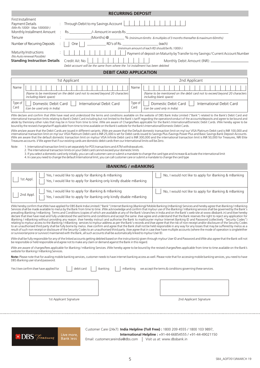|                                                                                                              | <b>RECURRING DEPOSIT</b>            |                                                                                                                                                                                                                                                                        |  |  |  |
|--------------------------------------------------------------------------------------------------------------|-------------------------------------|------------------------------------------------------------------------------------------------------------------------------------------------------------------------------------------------------------------------------------------------------------------------|--|--|--|
| First Installment<br>Payment Details<br>(Min Rs 1000/- Max 100000/-)<br>Monthly Installment Amount           |                                     | : Through Debit to my Savings Account $\boxed{\phantom{a}}$<br>Rs. ______________________/- Amount in words Rs                                                                                                                                                         |  |  |  |
| Tenure                                                                                                       |                                     | $(Months) @ \_\_\_\_$ % (minimum 6mths & multiples of 3 months thereafter & maximum 60mths)                                                                                                                                                                            |  |  |  |
| Number of Recurring Deposits<br>Maturity Instructions<br>(No Auto renewal Possible)                          | <b>Standing Instruction Details</b> | RD's of Rs. (each)<br>One<br>(minimum amount of each RD should be Rs. 1000/-)<br>Payment of deposit on Maturity by Transfer to my Savings / Current Account Number<br>Credit A/c No.<br>Debit account will be the same from where the 1st installment has been debited |  |  |  |
| <b>DEBIT CARD APPLICATION</b>                                                                                |                                     |                                                                                                                                                                                                                                                                        |  |  |  |
|                                                                                                              |                                     | 1st Applicant<br>2nd Applicant                                                                                                                                                                                                                                         |  |  |  |
| Name<br>(Name to be mentioned on the debit card not to exceed beyond 20 characters<br>including blank space) |                                     | Name<br>(Name to be mentioned on the debit card not to exceed beyond 20 characters<br>including blank space)                                                                                                                                                           |  |  |  |
| Type of<br>Domestic Debit Card<br>International Debit Card<br>Card<br>(can be used only in India)            |                                     | Type of<br>Domestic Debit Card<br>International Debit Card<br>Card<br>(can be used only in India)                                                                                                                                                                      |  |  |  |

I/We declare and confirm that I/We have read and understood the terms and conditions available on the website of DBS Bank India Limited ("Bank") related to the Bank's Debit Card and international transaction limits relating to Bank's Debit Card including but not limited to the Bank's tariff regarding the operation/conduct of the accounts/deposits and agree to be bound and abide by them/any other rules that may be in force from time to time. I/We are aware of Charges/fees applicable for the Bank's International/Domestic Debit Cards. I/We hereby agree to be bound by the revised charges/tariff applicable from time to time available on the Bank's website for the Bank's International/Domestic Debit Cards.

I/We am/are aware that the Debit Cards are issued in different variants. I/We are aware that the Default domestic transaction limit on my/ our VISA Platinum Debit card is INR 100,000 and international transaction limit on my/ our VISA Platinum Debit card is INR 25,000 is set for Debit cards issued to Savings Plus /Savings Power Plus and Basic Savings Bank Deposit Accounts. I/We are aware that the default domestic transaction limit on my/our VISA Infinite Debit card is INR 300,000 and the international transaction limit is INR 50,000 for Treasures, NRI Elite Treasures accounts. I/ We agree that if our existing cards are domestic debit cards then our International limits will be Zero.

Note: 1. International transaction limit is set separately for POS transactions and ATM withdrawals etc.

2. The international transaction limits on your Debit card cannot exceed your domestic limits

3. If you select a domestic card only initially, you can call customer care or submit a mandate to change the card type and increase & activate the international limit

4. In case you need to change the default International limit, you can call customer care or submit a mandate to change the card type

# **iBANKING / mBANKING**

| 1st Appl. | Yes, I would like to apply for iBanking & mBanking<br>Yes, I would like to apply for ibanking only kindly disable mBanking | No, I would not like to apply for iBanking & mBanking |
|-----------|----------------------------------------------------------------------------------------------------------------------------|-------------------------------------------------------|
| 2nd Appl. | Yes, I would like to apply for iBanking & mBanking<br>Yes, I would like to apply for ibanking only kindly disable mBanking | No, I would not like to apply for iBanking & mBanking |

I/We hereby confirm that I/We have applied for DBS Bank India Limited ("Bank") Internet Banking (iBanking)/ Mobile Banking (mBanking) Services and hereby agree that iBanking / mBanking Services shall be made available to me/us by the Bank from time to time. I/We acknowledge and confirm that my/our use of the iBanking / mBanking services shall be governed by the Bank's prevailing iBanking / mBanking Terms and Conditions (copies of which are available at any of the Bank's branches in India and on the Bank's web-site at www.dbsbank.in) and I/we hereby declare that I/we have read and fully understood the said terms and conditions and accept the same. I/we agree and understand that the Bank reserves the right to reject any application for<br>iBanking / mBanking without provi relating to my/our access to the iBanking / mBanking services to my/our address as per the Bank's records and I/we agree that the risk of non-receipt and/or disclosure of the Security Codes to an unauthorised third party shall be fully borne by me/us. I/we confirm and agree that the Bank shall not be held responsible in any way for any losses that may be suffered by me/us as a<br>result of such non receipt or di or survivor/anyone or survivor) maintained with the Bank, all such accounts shall be automatically linked to my/our User ID.

I/We shall be fully responsible for any of the linked accounts getting debited based on the instruction(s) given through my/our User ID and Password and I/We also agree that the Bank will not be responsible or held responsible and agree not to make any claim or demand against the Bank in this regard.

I/We are aware of charges/fees applicable for iBanking / mBanking Services. I/We hereby agree to be bound by the revised charges/fees applicable from time to time available on the Bank's website for iBanking / mBanking Services.

**Note:** Please note that for availing mobile banking services, customer needs to have internet banking access as well. Please note that for accessing mobile banking services, you need to have DBS iBanking user id and password.

Yes I /we confirm I/we have applied for debit card debit card dependence in banking mBanking we accept the terms & conditions governing these services.

1st Applicant Signature 2nd Applicant Signature 2nd Applicant Signature 2nd Applicant Signature



Customer Care (24x7): **India Helpline (Toll Free) :** 1800 209 4555 / 1800 103 9897, **International Helpline :** +91-44-66854555 / +91-44-49021150

Email: customercareindia@dbs.com | Visit us at: www.dbsbank.in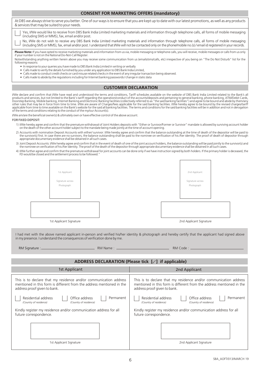| <b>CONSENT FOR MARKETING OFFERS (mandatory)</b> |
|-------------------------------------------------|
|-------------------------------------------------|

|                                                                                                                                                                                                                                                                                                                                                                                                            | <b>CONSENT FOR MARKETING OFFERS (mandatory)</b>                                                                                                                                                                                                                                                                                                                                                                                                                                                                                                                                                                                                                                                                                                                                                                                                                                                                                                                                                                                                                                                                                                                                                                                                                                                                                                                                                                                                                                                                                                                                                                                                                                                                                                                        |  |  |
|------------------------------------------------------------------------------------------------------------------------------------------------------------------------------------------------------------------------------------------------------------------------------------------------------------------------------------------------------------------------------------------------------------|------------------------------------------------------------------------------------------------------------------------------------------------------------------------------------------------------------------------------------------------------------------------------------------------------------------------------------------------------------------------------------------------------------------------------------------------------------------------------------------------------------------------------------------------------------------------------------------------------------------------------------------------------------------------------------------------------------------------------------------------------------------------------------------------------------------------------------------------------------------------------------------------------------------------------------------------------------------------------------------------------------------------------------------------------------------------------------------------------------------------------------------------------------------------------------------------------------------------------------------------------------------------------------------------------------------------------------------------------------------------------------------------------------------------------------------------------------------------------------------------------------------------------------------------------------------------------------------------------------------------------------------------------------------------------------------------------------------------------------------------------------------------|--|--|
| At DBS we always strive to serve you better. One of our ways is to ensure that you are kept up to date with our latest promotions, as well as any products<br>& services that may be suited to your needs.                                                                                                                                                                                                 |                                                                                                                                                                                                                                                                                                                                                                                                                                                                                                                                                                                                                                                                                                                                                                                                                                                                                                                                                                                                                                                                                                                                                                                                                                                                                                                                                                                                                                                                                                                                                                                                                                                                                                                                                                        |  |  |
| (including SMS or MMS), fax, email and/or post.                                                                                                                                                                                                                                                                                                                                                            | Yes, I/We would like to receive from DBS Bank India Limited marketing materials and information through telephone calls, all forms of mobile messaging                                                                                                                                                                                                                                                                                                                                                                                                                                                                                                                                                                                                                                                                                                                                                                                                                                                                                                                                                                                                                                                                                                                                                                                                                                                                                                                                                                                                                                                                                                                                                                                                                 |  |  |
|                                                                                                                                                                                                                                                                                                                                                                                                            | No, IWe do not wish to receive any DBS Bank India Limited marketing materials and information through telephone calls, all forms of mobile messaging<br>(including SMS or MMS), fax, email and/or post. I understand that I/We will not be contacted only on the phone/mobile no.(s) / email id registered in your records.                                                                                                                                                                                                                                                                                                                                                                                                                                                                                                                                                                                                                                                                                                                                                                                                                                                                                                                                                                                                                                                                                                                                                                                                                                                                                                                                                                                                                                            |  |  |
| Please Note: If you have opted to receive marketing materials and information from us via, mobile messaging or telephone calls, you will receive, mobile messages or calls from us only<br>if your number is not on the National Do-Not-Call Register.                                                                                                                                                     |                                                                                                                                                                                                                                                                                                                                                                                                                                                                                                                                                                                                                                                                                                                                                                                                                                                                                                                                                                                                                                                                                                                                                                                                                                                                                                                                                                                                                                                                                                                                                                                                                                                                                                                                                                        |  |  |
| following reasons:                                                                                                                                                                                                                                                                                                                                                                                         | Notwithstanding anything written herein above you may receive some communication from us (emails/sms/calls, etc) irrespective of you being on "The Do Not Disturb" list for the                                                                                                                                                                                                                                                                                                                                                                                                                                                                                                                                                                                                                                                                                                                                                                                                                                                                                                                                                                                                                                                                                                                                                                                                                                                                                                                                                                                                                                                                                                                                                                                        |  |  |
| • In response to your queries you have made to DBS Bank India Limited in writing or verbally<br>• Calls made to verify the details furnished by you under any application to DBS Bank India Limited,                                                                                                                                                                                                       |                                                                                                                                                                                                                                                                                                                                                                                                                                                                                                                                                                                                                                                                                                                                                                                                                                                                                                                                                                                                                                                                                                                                                                                                                                                                                                                                                                                                                                                                                                                                                                                                                                                                                                                                                                        |  |  |
| . Calls made to conduct credit checks or card misuse related checks in the event of any irregular transaction being observed.<br>• Calls made to abide by the regulations including for Internet banking passwords / change in static data                                                                                                                                                                 |                                                                                                                                                                                                                                                                                                                                                                                                                                                                                                                                                                                                                                                                                                                                                                                                                                                                                                                                                                                                                                                                                                                                                                                                                                                                                                                                                                                                                                                                                                                                                                                                                                                                                                                                                                        |  |  |
|                                                                                                                                                                                                                                                                                                                                                                                                            | <b>CUSTOMER DECLARATION</b>                                                                                                                                                                                                                                                                                                                                                                                                                                                                                                                                                                                                                                                                                                                                                                                                                                                                                                                                                                                                                                                                                                                                                                                                                                                                                                                                                                                                                                                                                                                                                                                                                                                                                                                                            |  |  |
| of the terms and conditions relating to the conduct of the my/our Account(s).<br>I/We am/are the beneficial owner(s) & ultimately own or have effective control of the above account.<br>FOR FIXED DEPOSIT:<br>on the death of the other account holder subject to the mandate being made jointly at the time of account opening.<br>appropriate documentary evidence shall be obtained in all such cases. | I/We declare and confirm that I/We have read and understood the terms and conditions, Tariff schedules available on the website of DBS Bank India Limited related to the Bank's all<br>products and services, but not limited to the Bank's tariff regarding the operation/conduct of the accounts/deposits and pertaining to general banking, phone banking, ATM/Debit Cards,<br>.<br>Doorstep Banking, Mobile banking, Internet Banking and Electronic Banking facilities (collectively referred to as "the said banking facilities") and agree to be bound and abide by them/any<br>other rules that may be in force from time to time. I/We are aware of Charges/fees applicable for the said banking facilities. I/We hereby agree to be bound by the revised charges/tariff<br>applicable from time to time available on the Bank's website for the said all banking facilities. The terms and conditions for the said banking facilities will be in addition and not in derogation<br>1) I/We hereby agree and confirm that the premature withdrawal of Joint Holders deposits with "Either or Survivor/Former or Survivor" mandate is allowed by surviving account holder<br>2) Accounts with nomination Deposit Accounts with either/ survivor: I/We hereby agree and confirm that the balance outstanding at the time of death of the depositor will be paid to<br>the survivor(s) first. In case there are no survivors, the balance outstanding shall be paid to the nominee on verification of his /her identity. The proof of death of depositor through<br>3) Joint Deposit Accounts: I/We hereby agree and confirm that in the event of death of one of the joint account holders, the balance outstanding will be paid jointly to the survivor(s) and |  |  |
| the nominee on verification of his/her identity. The proof of the death of the depositor through appropriate documentary evidence shall be obtained in all such cases.                                                                                                                                                                                                                                     | 4) I/We further agree and confirm that the premature withdrawal for joint accounts can be done only if we have instruction signed by both holders. If the primary holder is deceased, the                                                                                                                                                                                                                                                                                                                                                                                                                                                                                                                                                                                                                                                                                                                                                                                                                                                                                                                                                                                                                                                                                                                                                                                                                                                                                                                                                                                                                                                                                                                                                                              |  |  |
| FD would be closed and the settlement process to be followed."                                                                                                                                                                                                                                                                                                                                             |                                                                                                                                                                                                                                                                                                                                                                                                                                                                                                                                                                                                                                                                                                                                                                                                                                                                                                                                                                                                                                                                                                                                                                                                                                                                                                                                                                                                                                                                                                                                                                                                                                                                                                                                                                        |  |  |
| 1st Applicant                                                                                                                                                                                                                                                                                                                                                                                              | 2nd Applicant                                                                                                                                                                                                                                                                                                                                                                                                                                                                                                                                                                                                                                                                                                                                                                                                                                                                                                                                                                                                                                                                                                                                                                                                                                                                                                                                                                                                                                                                                                                                                                                                                                                                                                                                                          |  |  |
| Signature across                                                                                                                                                                                                                                                                                                                                                                                           | Signature across                                                                                                                                                                                                                                                                                                                                                                                                                                                                                                                                                                                                                                                                                                                                                                                                                                                                                                                                                                                                                                                                                                                                                                                                                                                                                                                                                                                                                                                                                                                                                                                                                                                                                                                                                       |  |  |
| Photograph                                                                                                                                                                                                                                                                                                                                                                                                 | Photograph                                                                                                                                                                                                                                                                                                                                                                                                                                                                                                                                                                                                                                                                                                                                                                                                                                                                                                                                                                                                                                                                                                                                                                                                                                                                                                                                                                                                                                                                                                                                                                                                                                                                                                                                                             |  |  |
|                                                                                                                                                                                                                                                                                                                                                                                                            |                                                                                                                                                                                                                                                                                                                                                                                                                                                                                                                                                                                                                                                                                                                                                                                                                                                                                                                                                                                                                                                                                                                                                                                                                                                                                                                                                                                                                                                                                                                                                                                                                                                                                                                                                                        |  |  |
|                                                                                                                                                                                                                                                                                                                                                                                                            |                                                                                                                                                                                                                                                                                                                                                                                                                                                                                                                                                                                                                                                                                                                                                                                                                                                                                                                                                                                                                                                                                                                                                                                                                                                                                                                                                                                                                                                                                                                                                                                                                                                                                                                                                                        |  |  |
|                                                                                                                                                                                                                                                                                                                                                                                                            |                                                                                                                                                                                                                                                                                                                                                                                                                                                                                                                                                                                                                                                                                                                                                                                                                                                                                                                                                                                                                                                                                                                                                                                                                                                                                                                                                                                                                                                                                                                                                                                                                                                                                                                                                                        |  |  |
| 1st Applicant Signature                                                                                                                                                                                                                                                                                                                                                                                    | 2nd Applicant Signature                                                                                                                                                                                                                                                                                                                                                                                                                                                                                                                                                                                                                                                                                                                                                                                                                                                                                                                                                                                                                                                                                                                                                                                                                                                                                                                                                                                                                                                                                                                                                                                                                                                                                                                                                |  |  |
| in my presence. I understand the consequences of verification done by me.                                                                                                                                                                                                                                                                                                                                  | I had met with the above named applicant in-person and verified his/her identity & photograph and hereby certify that the applicant had signed above                                                                                                                                                                                                                                                                                                                                                                                                                                                                                                                                                                                                                                                                                                                                                                                                                                                                                                                                                                                                                                                                                                                                                                                                                                                                                                                                                                                                                                                                                                                                                                                                                   |  |  |
| RM Name: -<br>RM Signature : _                                                                                                                                                                                                                                                                                                                                                                             | RM Code: _                                                                                                                                                                                                                                                                                                                                                                                                                                                                                                                                                                                                                                                                                                                                                                                                                                                                                                                                                                                                                                                                                                                                                                                                                                                                                                                                                                                                                                                                                                                                                                                                                                                                                                                                                             |  |  |
| ADDRESS DECLARATION (Please tick $[\sqrt{}]$ if applicable)                                                                                                                                                                                                                                                                                                                                                |                                                                                                                                                                                                                                                                                                                                                                                                                                                                                                                                                                                                                                                                                                                                                                                                                                                                                                                                                                                                                                                                                                                                                                                                                                                                                                                                                                                                                                                                                                                                                                                                                                                                                                                                                                        |  |  |
| 1st Applicant                                                                                                                                                                                                                                                                                                                                                                                              | 2nd Applicant                                                                                                                                                                                                                                                                                                                                                                                                                                                                                                                                                                                                                                                                                                                                                                                                                                                                                                                                                                                                                                                                                                                                                                                                                                                                                                                                                                                                                                                                                                                                                                                                                                                                                                                                                          |  |  |
| This is to declare that my residence and/or communication address<br>mentioned in this form is different from the address mentioned in the<br>address proof given to bank.                                                                                                                                                                                                                                 | This is to declare that my residence and/or communication address<br>mentioned in this form is different from the address mentioned in the<br>address proof given to bank.                                                                                                                                                                                                                                                                                                                                                                                                                                                                                                                                                                                                                                                                                                                                                                                                                                                                                                                                                                                                                                                                                                                                                                                                                                                                                                                                                                                                                                                                                                                                                                                             |  |  |
| Residential address<br>Office address<br>Permanent<br>(Country of residence)<br>(Country of residence)                                                                                                                                                                                                                                                                                                     | Residential address<br>Office address<br>Permanent<br>(Country of residence)<br>(Country of residence)                                                                                                                                                                                                                                                                                                                                                                                                                                                                                                                                                                                                                                                                                                                                                                                                                                                                                                                                                                                                                                                                                                                                                                                                                                                                                                                                                                                                                                                                                                                                                                                                                                                                 |  |  |

Kindly register my residence and/or communication address for all future correspondence.

1st Applicant Signature 2nd Applicant Signature 2nd Applicant Signature

Kindly register my residence and/or communication address for all

future correspondence.

6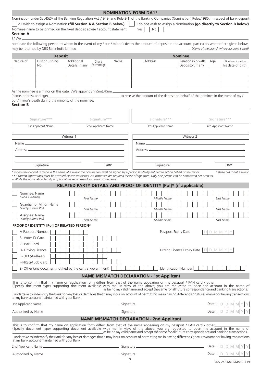|                                             |                                                                                                                                                  |                               |                     |      | <b>NOMINATION FORM DA1*</b>                                                                                                                                                                                                                      |                                        |        |                                             |
|---------------------------------------------|--------------------------------------------------------------------------------------------------------------------------------------------------|-------------------------------|---------------------|------|--------------------------------------------------------------------------------------------------------------------------------------------------------------------------------------------------------------------------------------------------|----------------------------------------|--------|---------------------------------------------|
|                                             | ^ I wish to assign a Nomination (fill Section A & Section B below)<br>Nominee name to be printed on the fixed deposit advise / account statement |                               |                     |      | Nomination under Sec45ZA of the Banking Regulation Act , 1949, and Rule 2(1) of the Banking Companies (Nomination) Rules, 1985, in respect of bank deposit<br>I do not wish to assign a Nomination (go directly to Section B below)<br>Yes<br>No |                                        |        |                                             |
| <b>Section A</b><br>$1/We$ _                |                                                                                                                                                  |                               |                     |      |                                                                                                                                                                                                                                                  |                                        |        |                                             |
|                                             | may be returned by DBS Bank India Limited _                                                                                                      |                               |                     |      | nominate the following person to whom in the event of my / our / minor's death the amount of deposit in the account, particulars whereof are given below,                                                                                        |                                        |        | (Name of the branch where account is held)  |
|                                             | <b>Deposit</b>                                                                                                                                   |                               |                     |      |                                                                                                                                                                                                                                                  | <b>Nominee</b>                         |        |                                             |
| Nature of                                   | Distinguishing<br>No.                                                                                                                            | Additional<br>Details, if any | Share<br>Percentage | Name | Address                                                                                                                                                                                                                                          | Relationship with<br>Depositor, if any | Age    | If Nominee is a minor.<br>his date of birth |
|                                             |                                                                                                                                                  |                               |                     |      |                                                                                                                                                                                                                                                  |                                        |        |                                             |
|                                             |                                                                                                                                                  |                               |                     |      |                                                                                                                                                                                                                                                  |                                        |        |                                             |
| (name, address and age)<br><b>Section B</b> | As the nominee is a minor on this date, I/We appoint Shri/Smt./Kum.<br>our / minor's death during the minority of the nominee.                   |                               |                     |      | to receive the amount of the deposit on behalf of the nominee in the event of my /                                                                                                                                                               |                                        |        |                                             |
|                                             |                                                                                                                                                  |                               |                     |      |                                                                                                                                                                                                                                                  |                                        |        |                                             |
|                                             | Signature***                                                                                                                                     |                               | Signature***        |      | Signature***                                                                                                                                                                                                                                     |                                        |        | Signature***                                |
|                                             | 1st Applicant Name                                                                                                                               |                               | 2nd Applicant Name  |      | 3rd Applicant Name                                                                                                                                                                                                                               |                                        |        | 4th Applicant Name                          |
|                                             |                                                                                                                                                  | Witness 1                     |                     |      |                                                                                                                                                                                                                                                  | Witness 2                              |        |                                             |
|                                             |                                                                                                                                                  |                               |                     |      |                                                                                                                                                                                                                                                  |                                        |        |                                             |
|                                             |                                                                                                                                                  |                               |                     |      |                                                                                                                                                                                                                                                  |                                        |        |                                             |
|                                             |                                                                                                                                                  |                               |                     |      |                                                                                                                                                                                                                                                  |                                        |        |                                             |
|                                             | Signature                                                                                                                                        |                               |                     | Date | Signature                                                                                                                                                                                                                                        |                                        |        | Date                                        |
| Nominee: Name                               | ^ While the nomination facility is optional we recommend you avail of the same.                                                                  |                               |                     |      | *** Thumb impressions must be attested by two witnesses. No witnesses are required incase of signature. Only one person can be nominated per account.<br>RELATED PARTY DETAILS AND PROOF OF IDENTITY [Pol]* (if applicable)                      |                                        |        |                                             |
| (Pol if available)                          |                                                                                                                                                  |                               | First Name          |      | Middle Name                                                                                                                                                                                                                                      |                                        |        | Last Name                                   |
| (Kindly submit Pol)                         | Guardian of Minor: Name                                                                                                                          |                               | <b>First Name</b>   |      | Middle Name                                                                                                                                                                                                                                      |                                        |        | Last Name                                   |
| Assignee: Name<br>(Kindly submit Pol)       |                                                                                                                                                  |                               | <b>First Name</b>   |      | Middle Name                                                                                                                                                                                                                                      |                                        |        | Last Name                                   |
|                                             | PROOF OF IDENTITY [Pol] OF RELATED PERSON*                                                                                                       |                               |                     |      |                                                                                                                                                                                                                                                  |                                        |        |                                             |
|                                             | A-Passport Number                                                                                                                                |                               |                     |      |                                                                                                                                                                                                                                                  | Passport Expiry Date                   | D M M  |                                             |
| B- Voter ID Card                            |                                                                                                                                                  |                               |                     |      |                                                                                                                                                                                                                                                  |                                        |        |                                             |
| C- PAN Card                                 |                                                                                                                                                  |                               |                     |      |                                                                                                                                                                                                                                                  |                                        |        |                                             |
| D- Driving Licence<br>E- UID (Aadhaar)      |                                                                                                                                                  |                               |                     |      |                                                                                                                                                                                                                                                  | Driving Licence Expiry Date DDDMM      |        |                                             |
| F-NREGA Job Card                            |                                                                                                                                                  |                               |                     |      |                                                                                                                                                                                                                                                  |                                        |        |                                             |
|                                             | Z- Other (any document notified by the central government)                                                                                       |                               |                     |      |                                                                                                                                                                                                                                                  | Identification Number                  |        |                                             |
|                                             |                                                                                                                                                  |                               |                     |      | <b>NAME MISMATCH DECLARATION - 1st Applicant</b>                                                                                                                                                                                                 |                                        |        |                                             |
|                                             |                                                                                                                                                  |                               |                     |      | This is to confirm that my name on application form differs from that of the name appearing on my passport / PAN card / other<br>(Specify document type) supporting document available with me. In view of the above, you are req                |                                        |        |                                             |
|                                             | at my bank account maintained with your Bank.                                                                                                    |                               |                     |      | I undertake to indemnify the Bank for any loss or damages that it may incur on account of permitting me in having different signatures/name for having transactions                                                                              |                                        |        |                                             |
|                                             |                                                                                                                                                  |                               |                     |      |                                                                                                                                                                                                                                                  |                                        |        | DI DI<br>M<br>M                             |
|                                             |                                                                                                                                                  |                               |                     |      |                                                                                                                                                                                                                                                  |                                        |        |                                             |
|                                             |                                                                                                                                                  |                               |                     |      | <b>NAME MISMATCH DECLARATION - 2nd Applicant</b>                                                                                                                                                                                                 |                                        |        |                                             |
|                                             |                                                                                                                                                  |                               |                     |      | This is to confirm that my name on application form differs from that of the name appearing on my passport / PAN card / other<br>(Specify document type) supporting document available with me. In view of the above, you are req                |                                        |        |                                             |
|                                             | at my bank account maintained with your Bank.                                                                                                    |                               |                     |      | I undertake to indemnify the Bank for any loss or damages that it may incur on account of permitting me in having different signatures/name for having transactions                                                                              |                                        |        |                                             |
|                                             |                                                                                                                                                  |                               |                     |      |                                                                                                                                                                                                                                                  |                                        | Date:  |                                             |
|                                             |                                                                                                                                                  |                               |                     |      |                                                                                                                                                                                                                                                  |                                        | Date : |                                             |
|                                             | $\overline{7}$<br>SRA AOFT/013/MARCH 19                                                                                                          |                               |                     |      |                                                                                                                                                                                                                                                  |                                        |        |                                             |

SBA\_AOFT/013/MARCH 19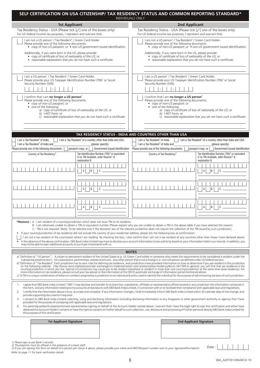| SELF CERTIFICATION ON USA CITIZENSHIP/ TAX RESIDENCY STATUS AND COMMON REPORTING STANDARD*                                                                                                                                                                                                                                                                                                                                                                                                                                                                                                                                                                                                                                                                                                                                                                                                                                                                                                                                                                                                                                                                                                                                                                                                                                                                                                             |                                                                                                                                                                                                                                                                                                                                                          | <b>INDIVIDUALS ONLY</b>                                                                                                                                                                                                  |                                                                                                                                                                                             |                                                                                                                                                                    |  |
|--------------------------------------------------------------------------------------------------------------------------------------------------------------------------------------------------------------------------------------------------------------------------------------------------------------------------------------------------------------------------------------------------------------------------------------------------------------------------------------------------------------------------------------------------------------------------------------------------------------------------------------------------------------------------------------------------------------------------------------------------------------------------------------------------------------------------------------------------------------------------------------------------------------------------------------------------------------------------------------------------------------------------------------------------------------------------------------------------------------------------------------------------------------------------------------------------------------------------------------------------------------------------------------------------------------------------------------------------------------------------------------------------------|----------------------------------------------------------------------------------------------------------------------------------------------------------------------------------------------------------------------------------------------------------------------------------------------------------------------------------------------------------|--------------------------------------------------------------------------------------------------------------------------------------------------------------------------------------------------------------------------|---------------------------------------------------------------------------------------------------------------------------------------------------------------------------------------------|--------------------------------------------------------------------------------------------------------------------------------------------------------------------|--|
| <b>1st Applicant</b>                                                                                                                                                                                                                                                                                                                                                                                                                                                                                                                                                                                                                                                                                                                                                                                                                                                                                                                                                                                                                                                                                                                                                                                                                                                                                                                                                                                   |                                                                                                                                                                                                                                                                                                                                                          | <b>2nd Applicant</b>                                                                                                                                                                                                     |                                                                                                                                                                                             |                                                                                                                                                                    |  |
| Tax Residency Status - USA (Please tick [√] one of the boxes only)<br>For US federal income tax purposes, I represent and warrant that:                                                                                                                                                                                                                                                                                                                                                                                                                                                                                                                                                                                                                                                                                                                                                                                                                                                                                                                                                                                                                                                                                                                                                                                                                                                                |                                                                                                                                                                                                                                                                                                                                                          | Tax Residency Status - USA (Please tick [√] one of the boxes only)<br>For US federal income tax purposes, I represent and warrant that:                                                                                  |                                                                                                                                                                                             |                                                                                                                                                                    |  |
| I am not a US person <sup>1</sup> / Tax Resident <sup>2</sup> / Green Card Holder.<br>Please provide one of the following documents:<br>• copy of non-US passport; or $\bullet$ non-US government issued identification.                                                                                                                                                                                                                                                                                                                                                                                                                                                                                                                                                                                                                                                                                                                                                                                                                                                                                                                                                                                                                                                                                                                                                                               |                                                                                                                                                                                                                                                                                                                                                          | I am not a US person <sup>1</sup> / Tax Resident <sup>2</sup> / Green Card Holder.<br>Please provide one of the following documents:<br>• copy of non-US passport; or $\bullet$ non-US government issued identification. |                                                                                                                                                                                             |                                                                                                                                                                    |  |
| Additionally, if you were born in the US, please provide:<br>• copy of certificate of loss of nationality of the US; or<br>• reasonable explanation that you do not have such a certificate:                                                                                                                                                                                                                                                                                                                                                                                                                                                                                                                                                                                                                                                                                                                                                                                                                                                                                                                                                                                                                                                                                                                                                                                                           |                                                                                                                                                                                                                                                                                                                                                          |                                                                                                                                                                                                                          | Additionally, if you were born in the US, please provide:<br>• copy of certificate of loss of nationality of the US; or                                                                     | • reasonable explanation that you do not have such a certificate:                                                                                                  |  |
| I am a US person <sup>1</sup> / Tax Resident <sup>2</sup> / Green Card Holder.<br>Please provide your US Taxpayer Identification Number (TIN) <sup>3</sup> or Social<br>Security Number (SSN).<br>$\overline{\phantom{a}}$                                                                                                                                                                                                                                                                                                                                                                                                                                                                                                                                                                                                                                                                                                                                                                                                                                                                                                                                                                                                                                                                                                                                                                             |                                                                                                                                                                                                                                                                                                                                                          | Security Number (SSN).                                                                                                                                                                                                   | I am a US person <sup>1</sup> / Tax Resident <sup>2</sup> / Green Card Holder.                                                                                                              | Please provide your US Taxpayer Identification Number (TIN) <sup>3</sup> or Social                                                                                 |  |
| I confirm that I am no longer a US person <sup>1</sup><br>Please provide one of the following documents:<br>• copy of non-US passport; or<br>• one of the following:<br>a) copy of certificate of loss of nationality of the US; or<br>b) $1-407$ Form; or                                                                                                                                                                                                                                                                                                                                                                                                                                                                                                                                                                                                                                                                                                                                                                                                                                                                                                                                                                                                                                                                                                                                             | c) reasonable explanation that you do not have such a certificate:                                                                                                                                                                                                                                                                                       |                                                                                                                                                                                                                          | I confirm that I am no longer a US person <sup>1</sup><br>Please provide one of the following documents:<br>• copy of non-US passport; or<br>• one of the following:<br>b) $1-407$ Form; or | a) copy of certificate of loss of nationality of the US; or<br>c) reasonable explanation that you do not have such a certificate:                                  |  |
|                                                                                                                                                                                                                                                                                                                                                                                                                                                                                                                                                                                                                                                                                                                                                                                                                                                                                                                                                                                                                                                                                                                                                                                                                                                                                                                                                                                                        | TAX RESIDENCY STATUS - INDIA AND COUNTRIES OTHER THAN USA                                                                                                                                                                                                                                                                                                |                                                                                                                                                                                                                          |                                                                                                                                                                                             |                                                                                                                                                                    |  |
| I am a Tax Resident <sup>2</sup> of India.<br>I am a Tax Resident <sup>2</sup> of India and<br>Please provide one of the following documents:                                                                                                                                                                                                                                                                                                                                                                                                                                                                                                                                                                                                                                                                                                                                                                                                                                                                                                                                                                                                                                                                                                                                                                                                                                                          | I am a Tax Resident <sup>2</sup> of a country other than India and USA.<br>(please specify)<br>passport copy; or<br>Government issued identification                                                                                                                                                                                                     | I am a Tax Resident <sup>2</sup> of India.<br>I am a Tax Resident <sup>2</sup> of India and<br>Please provide one of the following documents:                                                                            |                                                                                                                                                                                             | $\parallel$   1 am a Tax Resident <sup>2</sup> of a country other than India and USA.<br>(please specify)<br>passport copy; or<br>Government issued identification |  |
| Country of Tax Residency <sup>2</sup>                                                                                                                                                                                                                                                                                                                                                                                                                                                                                                                                                                                                                                                                                                                                                                                                                                                                                                                                                                                                                                                                                                                                                                                                                                                                                                                                                                  | Tax Identification Number (TIN) <sup>3</sup> or equivalent<br>If no TIN Available, enter Reason* &<br>explanation B                                                                                                                                                                                                                                      |                                                                                                                                                                                                                          | Country of Tax Residency <sup>2</sup>                                                                                                                                                       | Tax Identification Number (TIN) <sup>3</sup> or equivalent<br>If no TIN Available, enter Reason* &<br>explanation B                                                |  |
|                                                                                                                                                                                                                                                                                                                                                                                                                                                                                                                                                                                                                                                                                                                                                                                                                                                                                                                                                                                                                                                                                                                                                                                                                                                                                                                                                                                                        | IBI<br>C<br>$\mathsf{A}$                                                                                                                                                                                                                                                                                                                                 |                                                                                                                                                                                                                          |                                                                                                                                                                                             | B <br>$\mathsf{A}$                                                                                                                                                 |  |
|                                                                                                                                                                                                                                                                                                                                                                                                                                                                                                                                                                                                                                                                                                                                                                                                                                                                                                                                                                                                                                                                                                                                                                                                                                                                                                                                                                                                        | $\mathsf{A}$<br>B<br>C                                                                                                                                                                                                                                                                                                                                   |                                                                                                                                                                                                                          |                                                                                                                                                                                             | B                                                                                                                                                                  |  |
|                                                                                                                                                                                                                                                                                                                                                                                                                                                                                                                                                                                                                                                                                                                                                                                                                                                                                                                                                                                                                                                                                                                                                                                                                                                                                                                                                                                                        | $\mathsf{A}$<br>I B I<br>C                                                                                                                                                                                                                                                                                                                               |                                                                                                                                                                                                                          |                                                                                                                                                                                             | $\overline{A}$<br> B <br>C                                                                                                                                         |  |
| *Reasons: A - I am resident of a country/jurisdiction which does not issue TIN to its residents.<br>If your country/jurisdiction of tax residence did not include the country of your residential address, please tick the following box as confirmation:<br>I am not a tax resident of the country(ies) where I am residing. By checking this box, I also confirm that I am not a tax resident of any countries other than those I have declared above.<br>In the absence of the above confirmation, DBS Bank India Limited may have to disclose your account information to tax authority based on your information held in our records. In addition, you<br>may not be able to open additional accounts or purchase investments with us.                                                                                                                                                                                                                                                                                                                                                                                                                                                                                                                                                                                                                                                            | B - I am otherwise unable to obtain a TIN or equivalent number (Please explain why you are unable to obtain a TIN in the above table if you have selected this reason).<br>C - TIN is not required. (Note: To be selected only if the domestic law of the relevant jurisdiction does not require the collection of the TIN issued by such jurisdiction). |                                                                                                                                                                                                                          |                                                                                                                                                                                             |                                                                                                                                                                    |  |
|                                                                                                                                                                                                                                                                                                                                                                                                                                                                                                                                                                                                                                                                                                                                                                                                                                                                                                                                                                                                                                                                                                                                                                                                                                                                                                                                                                                                        |                                                                                                                                                                                                                                                                                                                                                          | <b>NOTES</b>                                                                                                                                                                                                             |                                                                                                                                                                                             |                                                                                                                                                                    |  |
| a) 'Definition of "US person": A citizen or permanent resident of the United States (e.g. US Green Card holder or someone who meets the requirements to be considered a resident under the<br>substantial presence test"); US corporations, partnerships, estates and trusts; Any other person that is not a foreign (i.e. non-US) person (as defined under US federal tax law).<br>b) <sup>2</sup> Definition of "Tax Resident" Each jurisdiction has its own rules for defining tax residence, and jurisdictions have provided information on how to determine if you are resident in the jurisdiction<br>on the following website: http://www.oecd.org/tax/automatic-exchange/crs-implementation-and-assistance/tax-residency/#d.en.347760\ In general, you will find that tax residence is the<br>country/jurisdiction in which you live. Special circumstances may cause you to be resident elsewhere or resident in more than one country/jurisdiction at the same time (dual residency). For<br>example, the contraction on tax residence, please consult your tax adviser or the information at the OECD automatic exchange of information portal mentioned above.<br>c) <sup>3</sup> A TIN is a unique combination of letters or numbers assigned by a jurisdiction to an individual & and is used to identify the individual for the purpose of administering tax laws of such jurisdiction. |                                                                                                                                                                                                                                                                                                                                                          |                                                                                                                                                                                                                          |                                                                                                                                                                                             |                                                                                                                                                                    |  |
| I agree that DBS Bank India Limited ("DBS") may disclose and transfer to its branches, subsidiaries, affiliates or representative offices located in any jurisdiction the information contained in<br>1.<br>this form, and any information relating to my accounts and products with DBS Bank India Limited, in connection with or to facilitate their compliance with applicable laws and regulations.<br>I certify that the information above is true, accurate and complete. If any information changes, I shall immediately inform DBS Bank India Limited within 30 calendar days of the change, and<br>2.<br>provide supporting documents if required.<br>3. I consent to DBS Bank India Limited collecting, using and disclosing information (including disclosing information to any Singapore or other government authority or agency) that I have<br>provided for the purpose of complying with applicable laws and regulations.<br>For parent/guardian/trustee/authorised representative signing on behalf of the Account Holder named above: I warrant that I have the legal right to sign this certification and either have<br>4.<br>obtained the Account Holder's consent or have the right to consent on his/her behalf to such collection, use, disclosure and processing of his/her personal data by DBS Bank India Limited for<br>the purposes of this certification.                |                                                                                                                                                                                                                                                                                                                                                          |                                                                                                                                                                                                                          |                                                                                                                                                                                             |                                                                                                                                                                    |  |
| <b>1st Applicant Signature</b>                                                                                                                                                                                                                                                                                                                                                                                                                                                                                                                                                                                                                                                                                                                                                                                                                                                                                                                                                                                                                                                                                                                                                                                                                                                                                                                                                                         |                                                                                                                                                                                                                                                                                                                                                          |                                                                                                                                                                                                                          | <b>2nd Applicant Signature</b>                                                                                                                                                              |                                                                                                                                                                    |  |
|                                                                                                                                                                                                                                                                                                                                                                                                                                                                                                                                                                                                                                                                                                                                                                                                                                                                                                                                                                                                                                                                                                                                                                                                                                                                                                                                                                                                        |                                                                                                                                                                                                                                                                                                                                                          |                                                                                                                                                                                                                          |                                                                                                                                                                                             |                                                                                                                                                                    |  |
| 1) Please sign as per Bank's records.<br>2) Thumbprints must be affixed in the presence of a bank staff.<br>3) If you are signing this form on behalf of a person per clause 4 above, please provide your name and NRIC/Passport number next to your signature/thumbprint.<br>Refer to page 11 for bank verification details                                                                                                                                                                                                                                                                                                                                                                                                                                                                                                                                                                                                                                                                                                                                                                                                                                                                                                                                                                                                                                                                           |                                                                                                                                                                                                                                                                                                                                                          |                                                                                                                                                                                                                          |                                                                                                                                                                                             | Date:                                                                                                                                                              |  |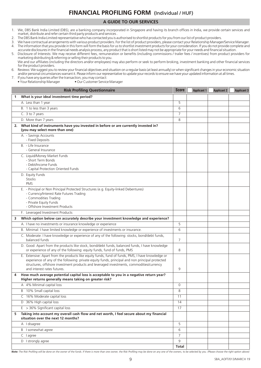# **FINANCIAL PROFILING FORM** (Individual / HUF)

# **A GUIDE TO OUR SERVICES**

1. We, DBS Bank India Limited (DBS), are a banking company incorporated in Singapore and having its branch offices in India, we provide certain services and market, distribute and refer certain third party products and services .

- 2. The DBS Bank India Limited representative who has contacted you is authorised to shortlist products for you from our list of product providers.
- 3. We have contractual arrangements with various product providers. For the list of product providers, please contact your Relationship Manager/Service Manager. 4. The information that you provide in this form will form the basis for us to shortlist investment products for your consideration. If you do not provide complete and accurate disclosures in the financial needs analysis process, any product that is short listed may not be appropriate for your needs and financial situation.
- 5. Disclosure of Interests: We may receive different fees, remuneration or benefits (including commissions / trailer fees / incentives) from product providers for marketing distributing & referring or selling their products to you.
- We and our affiliates (including the directors and/or employees) may also perform or seek to perform broking, investment banking and other financial services for the product providers.

#### 6. Reviews: We suggest you to review your financial objectives and situation on a regular basis (at least annually) or when significant changes in your economic situation and/or personal circumstances warrant it. Please inform our representative to update your records to ensure we have your updated information at all times.

- 
- 7. If you have any queries after the transaction, you may contact:<br>• Your Relationship Manager Our Customer Service • Our Customer Service Manager

|    | <b>Risk Profiling Questionnaire</b>                                                                                                                                                                                                                                                                                            | <b>Score</b>        | <b>Applicant 1</b> | <b>Applicant 2</b> | <b>Applicant 3</b> |
|----|--------------------------------------------------------------------------------------------------------------------------------------------------------------------------------------------------------------------------------------------------------------------------------------------------------------------------------|---------------------|--------------------|--------------------|--------------------|
| 1  | What is your ideal investment time period?                                                                                                                                                                                                                                                                                     |                     |                    |                    |                    |
|    | A. Less than 1 year                                                                                                                                                                                                                                                                                                            | 5                   |                    |                    |                    |
|    | B. 1 to less than 3 years                                                                                                                                                                                                                                                                                                      | 6                   |                    |                    |                    |
|    | C. 3 to 7 years                                                                                                                                                                                                                                                                                                                | 7                   |                    |                    |                    |
|    | D. More than 7 years                                                                                                                                                                                                                                                                                                           | 8                   |                    |                    |                    |
| 2. | What kind of instruments have you invested in before or are currently invested in?<br>(you may select more than one)                                                                                                                                                                                                           |                     |                    |                    |                    |
|    | A. - Savings Accounts<br>- Fixed Deposits                                                                                                                                                                                                                                                                                      |                     |                    |                    |                    |
|    | B. - Life Insurance<br>- General Insurance                                                                                                                                                                                                                                                                                     |                     |                    |                    |                    |
|    | C. Liquid/Money Market Funds<br>- Short Term Bonds<br>- Debt/Income Funds<br>- Capital Protection Oriented Funds                                                                                                                                                                                                               |                     |                    |                    |                    |
|    | D. Equity Funds<br><b>Stocks</b><br><b>PMS</b>                                                                                                                                                                                                                                                                                 |                     |                    |                    |                    |
|    | E. - Principal or Non Principal Protected Structures (e.g. Equity-linked Debentures)<br>- Currency/Interest Rate Futures Trading<br>- Commodities Trading<br>- Private Equity Funds<br>- Offshore Investment Products                                                                                                          |                     |                    |                    |                    |
|    | F. Leveraged Investment Products                                                                                                                                                                                                                                                                                               |                     |                    |                    |                    |
| 3  | Which option below can accurately describe your investment knowledge and experience?                                                                                                                                                                                                                                           |                     |                    |                    |                    |
|    | A. I have no investments or insurance knowledge or experience                                                                                                                                                                                                                                                                  | 5                   |                    |                    |                    |
|    | B. Minimal: I have limited knowledge or experience of investments or insurance.                                                                                                                                                                                                                                                | 6                   |                    |                    |                    |
|    | C. Moderate: I have knowledge or experience of any of the following: stocks, bond/debt funds,<br>balanced funds                                                                                                                                                                                                                | 7                   |                    |                    |                    |
|    | D. Good: Apart from the products like stock, bond/debt funds, balanced funds, I have knowledge<br>or experience of any of the following: equity funds, fund of funds, PMS                                                                                                                                                      | 8                   |                    |                    |                    |
|    | E. Extensive: Apart from the products like equity funds, fund of funds, PMS, I have knowledge or<br>experience of any of the following: private equity funds, principal and non principal protected<br>structures, offshore investment products and leveraged investments, commodities/currency<br>and interest rates futures. | 9                   |                    |                    |                    |
| 4  | How much average potential capital loss is acceptable to you in a negative return year?<br>Higher returns generally means taking on greater risk?                                                                                                                                                                              |                     |                    |                    |                    |
|    | A 4% Minimal capital loss                                                                                                                                                                                                                                                                                                      | $\mathsf{O}\xspace$ |                    |                    |                    |
|    | B 10% Small capital loss                                                                                                                                                                                                                                                                                                       | 8                   |                    |                    |                    |
|    | C 16% Moderate capital loss                                                                                                                                                                                                                                                                                                    | 11                  |                    |                    |                    |
|    | D 36% High capital loss                                                                                                                                                                                                                                                                                                        | 14                  |                    |                    |                    |
|    | $E > 36\%$ Significant capital loss                                                                                                                                                                                                                                                                                            | 17                  |                    |                    |                    |
| 5. | Taking into account my overall cash flow and net worth, I feel secure about my financial<br>situation over the next 12 months?                                                                                                                                                                                                 |                     |                    |                    |                    |
|    | A I disagree                                                                                                                                                                                                                                                                                                                   | 5                   |                    |                    |                    |
|    | B I somewhat agree                                                                                                                                                                                                                                                                                                             | 6                   |                    |                    |                    |
|    | C lagree                                                                                                                                                                                                                                                                                                                       | 7                   |                    |                    |                    |
|    | D I strongly agree                                                                                                                                                                                                                                                                                                             | 9                   |                    |                    |                    |
|    |                                                                                                                                                                                                                                                                                                                                | Total               |                    |                    |                    |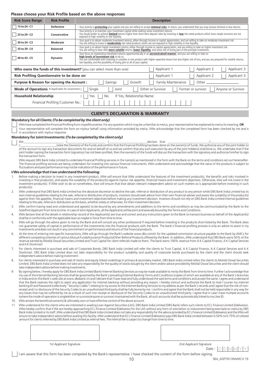# **Please choose your Risk Profile based on the above responses**

| <b>Risk Score Range</b>                                                                                                                      | <b>Risk Profile</b>                                                            | <b>Description</b>                                                                                                                                                                                                                                                                                                                                                                                                                   |  |  |  |  |
|----------------------------------------------------------------------------------------------------------------------------------------------|--------------------------------------------------------------------------------|--------------------------------------------------------------------------------------------------------------------------------------------------------------------------------------------------------------------------------------------------------------------------------------------------------------------------------------------------------------------------------------------------------------------------------------|--|--|--|--|
| 15 to 24 - C1                                                                                                                                | <b>Defensive</b>                                                               | - Your priority is <b>protecting</b> your capital and you are willing to accept <i>minimal risks</i> . In return, you understand that you may receive minimal or low returns.                                                                                                                                                                                                                                                        |  |  |  |  |
| 25 to 29 - C2                                                                                                                                | Conservative                                                                   | - Your priority is to maintain your investment capital while seeking some investment returns.<br>- You would prefer to achieve limited returns higher than short-term deposit rates by investing in low risk-rated products which have simple structure are not<br>exposed to high volatility or low liquidity.                                                                                                                      |  |  |  |  |
| 30 to 34 - C3                                                                                                                                | Moderate                                                                       | - Your goal is to obtain moderate investment returns, either through income or capital appreciation, and are willing to take on moderate investment risk<br>- You are willing to invest in <b>moderately</b> risk-rated products which are not exposed to high volatility or low liquidity.                                                                                                                                          |  |  |  |  |
| 35 to 39 - C4                                                                                                                                | <b>Balanced</b>                                                                | - Your goal is to obtain higher investment returns, either through income or capital appreciation, and are willing to take on higher investment risk.<br>- You are willing to bear with more volatile returns, lower liquidity, and some risk of losing part of the principle investment.                                                                                                                                            |  |  |  |  |
| 40 to 43 - C5                                                                                                                                | <b>Dynamic</b>                                                                 | - Your focus on maximizing investment returns opportunistically in an <i>unconstrained manner</i> , and you are willing to take on<br>high levels of investment risk to do so.<br>- You are comfortable with investing in complex or risk product with higher expected returns but also higher risk of loss, and you are prepared for volatile returns,<br>low liquidity, and the possibility of losing part or all of your capital. |  |  |  |  |
| Applicant 1<br>Applicant 2<br>Applicant 3<br>Who owns the funds of this investment? (you can select more than one)                           |                                                                                |                                                                                                                                                                                                                                                                                                                                                                                                                                      |  |  |  |  |
| Risk Profiling Questionnaire to be done on:<br>Applicant 3<br>Applicant 1<br>Applicant 2                                                     |                                                                                |                                                                                                                                                                                                                                                                                                                                                                                                                                      |  |  |  |  |
| Family Maintenance<br>Purpose & Reason for opening the Account:<br>Savings<br>Growth<br>Other                                                |                                                                                |                                                                                                                                                                                                                                                                                                                                                                                                                                      |  |  |  |  |
| <b>Mode of Operations</b> # Applicable for investment :<br>Single<br>Either or Survivor<br>Former or survivor<br>Anyone or Survivor<br>Joint |                                                                                |                                                                                                                                                                                                                                                                                                                                                                                                                                      |  |  |  |  |
|                                                                                                                                              | <b>Household Relationship</b><br>If Yes, Relationship Name:<br>Yes<br>No<br>÷. |                                                                                                                                                                                                                                                                                                                                                                                                                                      |  |  |  |  |
| Financial Profiling Customer No.:                                                                                                            |                                                                                |                                                                                                                                                                                                                                                                                                                                                                                                                                      |  |  |  |  |
| <b>CLIENT'S DECLARATION &amp; WARRANTY</b>                                                                                                   |                                                                                |                                                                                                                                                                                                                                                                                                                                                                                                                                      |  |  |  |  |

## **Mandatory for all Clients:**  *(To be completed by the client only)*

I/We have completed the Financial Profiling Form myself/ourselves. For any question which may be unfamiliar to me/us, your representative has explained to me/us its meaning. **OR** Your representative will complete the form on my/our behalf using information provided by me/us. I/We acknowledge that the completed form has been checked by me and is in accordance with my/our response.

#### **Mandatory for Joint Investments:** *(To be completed by the client only)*

We\_\_\_\_\_\_\_\_\_\_\_\_\_\_\_\_\_\_\_\_\_\_\_\_\_ /\_\_\_\_\_\_\_\_\_\_\_\_\_\_\_\_\_\_\_\_\_\_\_\_ /\_\_\_\_\_\_\_\_\_\_\_\_\_\_\_\_\_\_\_\_\_\_\_\_declare that \_\_\_\_\_\_\_\_\_\_\_\_\_\_\_\_\_\_\_\_\_\_\_\_\_\_/\_\_\_\_\_\_\_\_\_\_\_\_\_\_\_\_\_\_\_\_\_\_\_\_ /\_\_\_\_\_\_\_\_\_\_\_\_\_\_\_\_\_\_\_\_\_\_\_\_is/are the Owner(s) of the Funds and confirm that the Financial Profiling has been done on the owner(s) of funds. We authorize any of the joint holder (s) of the account to sign any transaction documents for and on behalf of us and we confirm that any such execution by any of the joint holder(s) shall bind us. We undertake that if the joint holder signing the transaction form (signatory) has not been profiled, then the owner(s) of the funds will discuss the transaction with the signatory and authorize him/her to sign the transaction form.

I/We request DBS Bank India Limited to undertake Financial Profiling services in the name(s) as mentioned in the form with the Bank on the terms and conditions set out hereinafter. The financial profiling services are being undertaken for investing into various financial instruments. I/We understand and acknowledge that the value of the products is subject to fluctuations and past performance may not be indication of the performance in future.

#### **I/We acknowledge that I/we understand the following:**

- Before making a decision to invest in any investment product, I/We will ensure that I/We understand the features of the investment product(s), the benefits and risks involved in investing in that product(s), and assess the suitability of the product(s) against my/our risk appetite, financial means and investment objectives. Otherwise, I/we will not invest in the investment product(s). If I/We wish to do so nonetheless, I/we will ensure that I/we obtain relevant independent advice on such matters as is appropriate before investing in such product(s)
- 2. I/We understand that DBS Bank India Limited has the absolute discretion to decline the sale, referral or distribution of any product to any person while DBS Bank India Limited has its own internal guidelines relating to the sale, referral or distribution of products, investors should seek advice from their own financial adviser and assess the suitability of the product(s) against their risk appetite, financial means and investment objectives before making any investment decision. Investors should not rely on DBS Bank India Limited internal guidelines relating to the sale, referral or distribution as the basis, whether solely or otherwise, for their investment decision.
- 3. I/We confirm having read and understood and agree(s) to be bound by any amendments and additions to the terms and conditions as may be communicated by the Bank to the Sole/First Applicant from time to time. In case of Joint Applicants, all the Applicants will be joint and severally bound by the Terms and Conditions.
- 4. I/We declare that all the details in relationship record of the Applicant(s) are true and correct and any instructions given to the Bank to transact business on behalf of the Applicant(s) shall be in conformity with the applicable laws as maybe in force from time to time.
- 5. I/We will go through the advice given to me by the Bank and will consult any other professional if required before investing in the products short-listed by the Bank. The Bank does not guarantee safety of capital or performance of the investments into the financial products with the Bank. The bank's financial profiling process is only an advice to assist in my investments and does not result in any commitment on performance and returns of the financial products.
- 6. At the time of entering into specific transactions, I/We will go through the Bank's website www.dbs.com/in for the updated commission structure payable to the Bank by AMCs for different competing schemes of various Mutual Funds/Insurance Products/Other Referral Products offered by the Bank. In addition, I/We understand that DBS Bank earns 50% of the revenue earned by Motilal Oswal Securities Limited and Trust Capital for client referrals made to them. The bank earns 100% revenue from A K Capital Finance, A K Capital Services and A K Stockmart
- 7. For clients interested in purchase and sale of Corporate Bonds, DBS Bank India Limited will refer the clients to Trust Capital, A K Capital Finance, A K Capital Services and A K Stockmart. DBS Bank India Limited does not take responsibility for the product suitability and quality of corporate bonds purchased by the client and the client should seek independent advice before making investment.
- 8. For clients interested in purchase and sale of stocks and equity linked underlings in primary & secondary market, DBS Bank India Limited refers the clients to Motilal Oswal Securities Limited. DBS Bank India Limited does not take any responsibility for the quality of stocks bought by the client and/or advice provided by Motilal Oswal Securities and the client should take independent advice before making investments.
- 9. By signing below, I hereby apply for DBS Bank India Limited (Bank) Internet Banking Services as may be made available to me by the Bank from time to time. Further I acknowledge that my use of the Internet Banking Services shall be governed by the Bank's prevailing Internet Banking Terms and Conditions (copies of which are available at any of the Bank's branches in India and on the Bank's web-site at www.dbsbank.in) and I declare that I have read and fully understood the said terms and conditions and accept the same. I agree and understand that the Bank reserves the right to reject any application for internet banking without providing any reason. I hereby instruct and authorize the Bank to mail / courier my internet banking ID and Password (collectively "Security Codes") relating to my access to the Internet Banking Services to my address as per the Bank's records and I agree that the risk of nonreceipt and / or disclosure of the Security Codes to an unauthorized third party shall be fully borne by me. I confirm and agree that the Bank shall not be held responsible in any way for any losses that may be suffered by me as a result of such non receipt or disclosure of the Security Codes to an unauthorized third party. I agree that in case I have multiple accounts (where the mode of operation is single/either or survivor/anyone or survivor) maintained with the Bank, all such accounts shall be automatically linked to my User ID.
- 10. I/We am/are the beneficial owner(s) & ultimately own or have effective control of the above account.
- 11. I/We understand for the clients who are interested in availing Loan Against Securities (LAS), DBS Bank India Limited (DBS Bank) refers such clients to ECL Finance Limited (Edelweiss). I/We hereby confirm that I/ We are hereby approaching ECL Finance Limited (Edelweiss) for the LAS without any form of solicitation or inducement being exercised on me/us by DBS Bank India Limited or its staff. I/We understand that DBS Bank India Limited does not take any responsibility for the advice provided by ECL Finance Limited (Edelweiss) and the I/We will ensure to take independent advice before availing this facility. I/We understand that ECL Finance Limited (Edelweiss) pays DBS Bank India Limited between 0.50% to 0.75% of utilized amount for clients referred by DBS Bank India Limited as referral fees. The referral fee is subject to change from time to time.

1st Applicant Signature 2nd Applicant Signature



I am aware that this form has been competed by the Bank's representative. I have checked the content of the form before signing.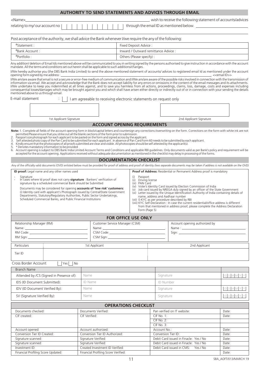|                                                                                                                                                                                                                                                                                                                                                                                                                                                                                                                                                                                                                                |                                                                                                                                                                                                                                      |  |                                            |                                 |                                                                   |  |                                      |                                                             |                                       |                                 | <b>AUTHORITY TO SEND STATEMENTS AND ADVICES THROUGH EMAIL</b>                                                                                                                                                                                                                                                                                                                                                                                                                                                                                                                                                                                                                                                                                                                                                                                                                                                                                                                                                                                                                                                                                                                                                                                                                                                           |                             |  |  |
|--------------------------------------------------------------------------------------------------------------------------------------------------------------------------------------------------------------------------------------------------------------------------------------------------------------------------------------------------------------------------------------------------------------------------------------------------------------------------------------------------------------------------------------------------------------------------------------------------------------------------------|--------------------------------------------------------------------------------------------------------------------------------------------------------------------------------------------------------------------------------------|--|--------------------------------------------|---------------------------------|-------------------------------------------------------------------|--|--------------------------------------|-------------------------------------------------------------|---------------------------------------|---------------------------------|-------------------------------------------------------------------------------------------------------------------------------------------------------------------------------------------------------------------------------------------------------------------------------------------------------------------------------------------------------------------------------------------------------------------------------------------------------------------------------------------------------------------------------------------------------------------------------------------------------------------------------------------------------------------------------------------------------------------------------------------------------------------------------------------------------------------------------------------------------------------------------------------------------------------------------------------------------------------------------------------------------------------------------------------------------------------------------------------------------------------------------------------------------------------------------------------------------------------------------------------------------------------------------------------------------------------------|-----------------------------|--|--|
| <name></name>                                                                                                                                                                                                                                                                                                                                                                                                                                                                                                                                                                                                                  |                                                                                                                                                                                                                                      |  |                                            |                                 |                                                                   |  |                                      | wish to receive the following statement of accounts/advices |                                       |                                 |                                                                                                                                                                                                                                                                                                                                                                                                                                                                                                                                                                                                                                                                                                                                                                                                                                                                                                                                                                                                                                                                                                                                                                                                                                                                                                                         |                             |  |  |
| relating to my/our account no                                                                                                                                                                                                                                                                                                                                                                                                                                                                                                                                                                                                  |                                                                                                                                                                                                                                      |  |                                            |                                 |                                                                   |  |                                      |                                                             |                                       |                                 |                                                                                                                                                                                                                                                                                                                                                                                                                                                                                                                                                                                                                                                                                                                                                                                                                                                                                                                                                                                                                                                                                                                                                                                                                                                                                                                         |                             |  |  |
| Post acceptance of the authority, we shall advice the Bank whenever I/we require the any of the following:                                                                                                                                                                                                                                                                                                                                                                                                                                                                                                                     |                                                                                                                                                                                                                                      |  |                                            |                                 |                                                                   |  |                                      |                                                             |                                       |                                 |                                                                                                                                                                                                                                                                                                                                                                                                                                                                                                                                                                                                                                                                                                                                                                                                                                                                                                                                                                                                                                                                                                                                                                                                                                                                                                                         |                             |  |  |
| #Statement:<br>Fixed Deposit Advice:                                                                                                                                                                                                                                                                                                                                                                                                                                                                                                                                                                                           |                                                                                                                                                                                                                                      |  |                                            |                                 |                                                                   |  |                                      |                                                             |                                       |                                 |                                                                                                                                                                                                                                                                                                                                                                                                                                                                                                                                                                                                                                                                                                                                                                                                                                                                                                                                                                                                                                                                                                                                                                                                                                                                                                                         |                             |  |  |
| #Bank Account:                                                                                                                                                                                                                                                                                                                                                                                                                                                                                                                                                                                                                 |                                                                                                                                                                                                                                      |  |                                            |                                 |                                                                   |  | Inward / Outward remittance Advice : |                                                             |                                       |                                 |                                                                                                                                                                                                                                                                                                                                                                                                                                                                                                                                                                                                                                                                                                                                                                                                                                                                                                                                                                                                                                                                                                                                                                                                                                                                                                                         |                             |  |  |
| #Portfolio:                                                                                                                                                                                                                                                                                                                                                                                                                                                                                                                                                                                                                    |                                                                                                                                                                                                                                      |  |                                            |                                 |                                                                   |  | Others (Please specify):             |                                                             |                                       |                                 |                                                                                                                                                                                                                                                                                                                                                                                                                                                                                                                                                                                                                                                                                                                                                                                                                                                                                                                                                                                                                                                                                                                                                                                                                                                                                                                         |                             |  |  |
| mandate. All the terms and conditions set out herein shall be applicable to such additions/changes.<br>opening form signed by me address : _<br>mentioned above to us through email.                                                                                                                                                                                                                                                                                                                                                                                                                                           |                                                                                                                                                                                                                                      |  |                                            |                                 |                                                                   |  |                                      |                                                             |                                       |                                 | Any addition/deletion of Email Ids mentioned above will be communicated to you in writing signed by the persons authorised to give instruction in accordance with the account<br>I/We hereby authorise you (the DBS Bank India Limited) to send the above mentioned statement of accounts/ advices to registered email Id as mentioned under the account<br>I/We am/are aware that email is not a secure or error-free medium of communication and I/We am/are aware of the possible risks involved in connection with the transmission of<br>information via email. We accept and acknowledge that the Bank does not accept liability for any errors or omissions in the content of the email messages and its attachments.<br>I/We undertake to keep you indemnified at all times against, and to save you harmless from all actions, proceedings, claims, loss, damage, costs and expenses including<br>consequential losses/damages which may be brought against you and which shall have arisen either directly or indirectly out of or in connection with your sending the details                                                                                                                                                                                                                                | < <email id="">&gt;</email> |  |  |
| E-mail statement                                                                                                                                                                                                                                                                                                                                                                                                                                                                                                                                                                                                               |                                                                                                                                                                                                                                      |  |                                            |                                 | I am agreeable to receiving electronic statements on request only |  |                                      |                                                             |                                       |                                 |                                                                                                                                                                                                                                                                                                                                                                                                                                                                                                                                                                                                                                                                                                                                                                                                                                                                                                                                                                                                                                                                                                                                                                                                                                                                                                                         |                             |  |  |
|                                                                                                                                                                                                                                                                                                                                                                                                                                                                                                                                                                                                                                |                                                                                                                                                                                                                                      |  |                                            |                                 |                                                                   |  |                                      |                                                             |                                       |                                 |                                                                                                                                                                                                                                                                                                                                                                                                                                                                                                                                                                                                                                                                                                                                                                                                                                                                                                                                                                                                                                                                                                                                                                                                                                                                                                                         |                             |  |  |
|                                                                                                                                                                                                                                                                                                                                                                                                                                                                                                                                                                                                                                | 1st Applicant Signature                                                                                                                                                                                                              |  |                                            |                                 |                                                                   |  |                                      |                                                             |                                       |                                 | 2nd Applicant Signature                                                                                                                                                                                                                                                                                                                                                                                                                                                                                                                                                                                                                                                                                                                                                                                                                                                                                                                                                                                                                                                                                                                                                                                                                                                                                                 |                             |  |  |
|                                                                                                                                                                                                                                                                                                                                                                                                                                                                                                                                                                                                                                |                                                                                                                                                                                                                                      |  |                                            |                                 | <b>ACCOUNT OPENING REQUIREMENTS</b>                               |  |                                      |                                                             |                                       |                                 |                                                                                                                                                                                                                                                                                                                                                                                                                                                                                                                                                                                                                                                                                                                                                                                                                                                                                                                                                                                                                                                                                                                                                                                                                                                                                                                         |                             |  |  |
| Passport size photograph for each applicant to be pasted on the form and signed across by the applicant.<br>2.<br>4. Kindly ensure that the photocopies of all proofs submitted are clear and visible. All photocopies should be self attested by the applicant(s).<br>* Denotes mandatory information to be provided<br>5.<br>ID proof: Legal name and any other names used<br>Signature<br>In cases where Id proof does not carry <b>signature</b> : Bankers' verification of<br>Departments, Statutory/Regulatory Authorities, Public Sector Undertakings,<br>Scheduled Commercial Banks, and Public Financial Institutions | signature by a scheduled commercial Bank should be Submitted<br>Documents may be considered for opening <b>accounts of 'low risk' customers:</b><br>(i) Identity card with applicant's Photograph issued by Central/State Government |  |                                            |                                 | <b>DOCUMENTATION CHECKLIST</b>                                    |  | (i)<br>(v)                           | Passport<br>(iii) PAN Card                                  | (ii) Driving license<br>Form (Page 5) |                                 | 3. Self attested photo copy of the Pan Card to be submitted for each applicant. In absence of Pan Card Form 60 needs to be submitted by each applicant.<br>6. Account opening is subject to DBS Bank India Limited Account Terms and Conditions and applicable RBI quidelines. Only documents valid as per Bank's policy and requirement will be<br>accepted for the account opening. Applications received without adequate documentation as mentioned in the checklist may delay in processing of the forms.<br>Any of the officially valid documents (OVD) enlisted below must be provided for proof of address and proof of identity (two separate documents may be taken if address is not available on the OVD)<br><b>Proof of Address:</b> Residential or Permanent Address proof is mandatory<br>(iv) Voter's Identity Card issued by Election Commission of India<br>Job card issued by NREGA duly signed by an officer of the State Government<br>(vi) Letter issued by the Unique Identification Authority of India containing details of<br>name, address and Aadhaar number<br>(vii) E-KYC as per procedure described by RBI<br>(viii) KYC Self-Declaration : In case the current residential/office address is different<br>from that mentioned in address proof, please complete the Address Declaration |                             |  |  |
|                                                                                                                                                                                                                                                                                                                                                                                                                                                                                                                                                                                                                                |                                                                                                                                                                                                                                      |  |                                            |                                 | <b>FOR OFFICE USE ONLY</b>                                        |  |                                      |                                                             |                                       |                                 |                                                                                                                                                                                                                                                                                                                                                                                                                                                                                                                                                                                                                                                                                                                                                                                                                                                                                                                                                                                                                                                                                                                                                                                                                                                                                                                         |                             |  |  |
| Relationship Manager (RM)                                                                                                                                                                                                                                                                                                                                                                                                                                                                                                                                                                                                      |                                                                                                                                                                                                                                      |  |                                            |                                 | Customer Service Manager (CSM)                                    |  |                                      |                                                             |                                       | Account opening authorized by   |                                                                                                                                                                                                                                                                                                                                                                                                                                                                                                                                                                                                                                                                                                                                                                                                                                                                                                                                                                                                                                                                                                                                                                                                                                                                                                                         |                             |  |  |
| Name: Name and the service of the service of the service of the service of the service of the service of the service of the service of the service of the service of the service of the service of the service of the service                                                                                                                                                                                                                                                                                                                                                                                                  |                                                                                                                                                                                                                                      |  |                                            |                                 |                                                                   |  |                                      |                                                             |                                       |                                 |                                                                                                                                                                                                                                                                                                                                                                                                                                                                                                                                                                                                                                                                                                                                                                                                                                                                                                                                                                                                                                                                                                                                                                                                                                                                                                                         |                             |  |  |
| RM Sign:                                                                                                                                                                                                                                                                                                                                                                                                                                                                                                                                                                                                                       |                                                                                                                                                                                                                                      |  |                                            |                                 |                                                                   |  |                                      |                                                             |                                       |                                 |                                                                                                                                                                                                                                                                                                                                                                                                                                                                                                                                                                                                                                                                                                                                                                                                                                                                                                                                                                                                                                                                                                                                                                                                                                                                                                                         |                             |  |  |
| Particulars                                                                                                                                                                                                                                                                                                                                                                                                                                                                                                                                                                                                                    |                                                                                                                                                                                                                                      |  | 1st Applicant                              |                                 |                                                                   |  |                                      |                                                             |                                       |                                 | 2nd Applicant                                                                                                                                                                                                                                                                                                                                                                                                                                                                                                                                                                                                                                                                                                                                                                                                                                                                                                                                                                                                                                                                                                                                                                                                                                                                                                           |                             |  |  |
| Tier ID                                                                                                                                                                                                                                                                                                                                                                                                                                                                                                                                                                                                                        |                                                                                                                                                                                                                                      |  |                                            |                                 |                                                                   |  |                                      |                                                             |                                       |                                 |                                                                                                                                                                                                                                                                                                                                                                                                                                                                                                                                                                                                                                                                                                                                                                                                                                                                                                                                                                                                                                                                                                                                                                                                                                                                                                                         |                             |  |  |
| Cross Border Account                                                                                                                                                                                                                                                                                                                                                                                                                                                                                                                                                                                                           | $Yes \mid No$                                                                                                                                                                                                                        |  |                                            |                                 |                                                                   |  |                                      |                                                             |                                       |                                 |                                                                                                                                                                                                                                                                                                                                                                                                                                                                                                                                                                                                                                                                                                                                                                                                                                                                                                                                                                                                                                                                                                                                                                                                                                                                                                                         |                             |  |  |
| Branch Name                                                                                                                                                                                                                                                                                                                                                                                                                                                                                                                                                                                                                    |                                                                                                                                                                                                                                      |  |                                            |                                 |                                                                   |  |                                      |                                                             |                                       |                                 |                                                                                                                                                                                                                                                                                                                                                                                                                                                                                                                                                                                                                                                                                                                                                                                                                                                                                                                                                                                                                                                                                                                                                                                                                                                                                                                         |                             |  |  |
| Attended by /CS (Signed in Presence of):<br>Name                                                                                                                                                                                                                                                                                                                                                                                                                                                                                                                                                                               |                                                                                                                                                                                                                                      |  |                                            |                                 |                                                                   |  |                                      |                                                             |                                       | Signature                       |                                                                                                                                                                                                                                                                                                                                                                                                                                                                                                                                                                                                                                                                                                                                                                                                                                                                                                                                                                                                                                                                                                                                                                                                                                                                                                                         | DDMMYY                      |  |  |
| <b>ID Name</b><br>IDS (ID Document Submitted):                                                                                                                                                                                                                                                                                                                                                                                                                                                                                                                                                                                 |                                                                                                                                                                                                                                      |  |                                            |                                 |                                                                   |  |                                      |                                                             |                                       | <b>ID Number</b>                |                                                                                                                                                                                                                                                                                                                                                                                                                                                                                                                                                                                                                                                                                                                                                                                                                                                                                                                                                                                                                                                                                                                                                                                                                                                                                                                         |                             |  |  |
| Name<br>IDV (ID Document Verified By):                                                                                                                                                                                                                                                                                                                                                                                                                                                                                                                                                                                         |                                                                                                                                                                                                                                      |  |                                            |                                 |                                                                   |  |                                      |                                                             |                                       | Signature                       |                                                                                                                                                                                                                                                                                                                                                                                                                                                                                                                                                                                                                                                                                                                                                                                                                                                                                                                                                                                                                                                                                                                                                                                                                                                                                                                         | DDMMYY                      |  |  |
| SV (Signature Verified By):<br>Name                                                                                                                                                                                                                                                                                                                                                                                                                                                                                                                                                                                            |                                                                                                                                                                                                                                      |  |                                            |                                 |                                                                   |  |                                      | Signature                                                   |                                       |                                 |                                                                                                                                                                                                                                                                                                                                                                                                                                                                                                                                                                                                                                                                                                                                                                                                                                                                                                                                                                                                                                                                                                                                                                                                                                                                                                                         | DDMMYY                      |  |  |
|                                                                                                                                                                                                                                                                                                                                                                                                                                                                                                                                                                                                                                |                                                                                                                                                                                                                                      |  |                                            |                                 |                                                                   |  |                                      |                                                             |                                       |                                 |                                                                                                                                                                                                                                                                                                                                                                                                                                                                                                                                                                                                                                                                                                                                                                                                                                                                                                                                                                                                                                                                                                                                                                                                                                                                                                                         |                             |  |  |
|                                                                                                                                                                                                                                                                                                                                                                                                                                                                                                                                                                                                                                |                                                                                                                                                                                                                                      |  |                                            |                                 | <b>OPERATIONS CHECKLIST</b>                                       |  |                                      |                                                             |                                       |                                 |                                                                                                                                                                                                                                                                                                                                                                                                                                                                                                                                                                                                                                                                                                                                                                                                                                                                                                                                                                                                                                                                                                                                                                                                                                                                                                                         |                             |  |  |
| Documents checked:                                                                                                                                                                                                                                                                                                                                                                                                                                                                                                                                                                                                             |                                                                                                                                                                                                                                      |  | Documents Verified:                        |                                 |                                                                   |  |                                      |                                                             |                                       |                                 | Pan verified on IT website:                                                                                                                                                                                                                                                                                                                                                                                                                                                                                                                                                                                                                                                                                                                                                                                                                                                                                                                                                                                                                                                                                                                                                                                                                                                                                             | Date:                       |  |  |
| CIF created:                                                                                                                                                                                                                                                                                                                                                                                                                                                                                                                                                                                                                   |                                                                                                                                                                                                                                      |  | CIF Verified:                              |                                 |                                                                   |  |                                      |                                                             |                                       | <b>CIF No. 1:</b><br>CIF No. 2: |                                                                                                                                                                                                                                                                                                                                                                                                                                                                                                                                                                                                                                                                                                                                                                                                                                                                                                                                                                                                                                                                                                                                                                                                                                                                                                                         | Date:                       |  |  |
|                                                                                                                                                                                                                                                                                                                                                                                                                                                                                                                                                                                                                                |                                                                                                                                                                                                                                      |  |                                            |                                 |                                                                   |  | CIF No. 3:                           |                                                             |                                       |                                 |                                                                                                                                                                                                                                                                                                                                                                                                                                                                                                                                                                                                                                                                                                                                                                                                                                                                                                                                                                                                                                                                                                                                                                                                                                                                                                                         |                             |  |  |
| Account opened:<br>Account authorized:                                                                                                                                                                                                                                                                                                                                                                                                                                                                                                                                                                                         |                                                                                                                                                                                                                                      |  |                                            |                                 |                                                                   |  | Account No.:<br>Date:                |                                                             |                                       |                                 |                                                                                                                                                                                                                                                                                                                                                                                                                                                                                                                                                                                                                                                                                                                                                                                                                                                                                                                                                                                                                                                                                                                                                                                                                                                                                                                         |                             |  |  |
| Conversion Tier ID Created:<br>Signature scanned:                                                                                                                                                                                                                                                                                                                                                                                                                                                                                                                                                                              |                                                                                                                                                                                                                                      |  | Conversion Tier ID Authorized:             |                                 |                                                                   |  |                                      |                                                             |                                       |                                 | Conversion Tier ID:                                                                                                                                                                                                                                                                                                                                                                                                                                                                                                                                                                                                                                                                                                                                                                                                                                                                                                                                                                                                                                                                                                                                                                                                                                                                                                     | Date:                       |  |  |
| Signature scanned:                                                                                                                                                                                                                                                                                                                                                                                                                                                                                                                                                                                                             |                                                                                                                                                                                                                                      |  | Signature Verified:<br>Signature Verified: |                                 |                                                                   |  |                                      |                                                             |                                       |                                 | Debit Card issued in Finacle: Yes / No<br>Debit Card issued in Finacle: Yes / No                                                                                                                                                                                                                                                                                                                                                                                                                                                                                                                                                                                                                                                                                                                                                                                                                                                                                                                                                                                                                                                                                                                                                                                                                                        | Date:<br>Date:              |  |  |
| Investment ID:                                                                                                                                                                                                                                                                                                                                                                                                                                                                                                                                                                                                                 |                                                                                                                                                                                                                                      |  |                                            | Created Investment ID Verified: |                                                                   |  |                                      | Debit Card issued in CMS:<br>Yes / No                       |                                       |                                 | Date:                                                                                                                                                                                                                                                                                                                                                                                                                                                                                                                                                                                                                                                                                                                                                                                                                                                                                                                                                                                                                                                                                                                                                                                                                                                                                                                   |                             |  |  |
| Financial Profiling Score Updated:<br>Financial Profiling Score Verified:                                                                                                                                                                                                                                                                                                                                                                                                                                                                                                                                                      |                                                                                                                                                                                                                                      |  |                                            |                                 |                                                                   |  |                                      |                                                             |                                       |                                 |                                                                                                                                                                                                                                                                                                                                                                                                                                                                                                                                                                                                                                                                                                                                                                                                                                                                                                                                                                                                                                                                                                                                                                                                                                                                                                                         | Date:                       |  |  |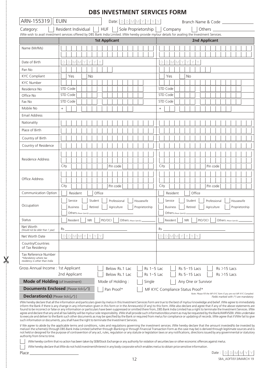|                                                                                                                                                           | <b>DBS INVESTMENT SERVICES FORM</b>                                                                                                                                                                                                                                                                                                                                                                                                                                                                                                                                                                                                                                                                                                                                                                                                                                                                                                                                                                                                                                                      |  |  |  |  |  |  |  |  |
|-----------------------------------------------------------------------------------------------------------------------------------------------------------|------------------------------------------------------------------------------------------------------------------------------------------------------------------------------------------------------------------------------------------------------------------------------------------------------------------------------------------------------------------------------------------------------------------------------------------------------------------------------------------------------------------------------------------------------------------------------------------------------------------------------------------------------------------------------------------------------------------------------------------------------------------------------------------------------------------------------------------------------------------------------------------------------------------------------------------------------------------------------------------------------------------------------------------------------------------------------------------|--|--|--|--|--|--|--|--|
| ARN-155319                                                                                                                                                | <b>EUIN</b><br>Date: $D D M M Y Y Y$<br>Branch Name & Code _____________                                                                                                                                                                                                                                                                                                                                                                                                                                                                                                                                                                                                                                                                                                                                                                                                                                                                                                                                                                                                                 |  |  |  |  |  |  |  |  |
| Category:                                                                                                                                                 | Resident Individual   HUF<br>Sole Proprietorship<br>Company<br>Others and the contract of the contract of the contract of the contract of the contract of the contract of the contract of the contract of the contract of the contract of the contract of the contract of the contract of the<br>I/We wish to avail investment services offered by DBS Bank India Limited. I/We hereby provide my/our details for availing the Investment Services.                                                                                                                                                                                                                                                                                                                                                                                                                                                                                                                                                                                                                                      |  |  |  |  |  |  |  |  |
|                                                                                                                                                           | <b>1st Applicant</b><br><b>2nd Applicant</b>                                                                                                                                                                                                                                                                                                                                                                                                                                                                                                                                                                                                                                                                                                                                                                                                                                                                                                                                                                                                                                             |  |  |  |  |  |  |  |  |
| Name (Mr/Ms)                                                                                                                                              |                                                                                                                                                                                                                                                                                                                                                                                                                                                                                                                                                                                                                                                                                                                                                                                                                                                                                                                                                                                                                                                                                          |  |  |  |  |  |  |  |  |
| Date of Birth                                                                                                                                             | D M M<br>Y<br>D M M<br>D<br>D                                                                                                                                                                                                                                                                                                                                                                                                                                                                                                                                                                                                                                                                                                                                                                                                                                                                                                                                                                                                                                                            |  |  |  |  |  |  |  |  |
| Pan No                                                                                                                                                    |                                                                                                                                                                                                                                                                                                                                                                                                                                                                                                                                                                                                                                                                                                                                                                                                                                                                                                                                                                                                                                                                                          |  |  |  |  |  |  |  |  |
| <b>KYC Compliant</b>                                                                                                                                      | Yes<br><b>No</b><br>No<br>Yes                                                                                                                                                                                                                                                                                                                                                                                                                                                                                                                                                                                                                                                                                                                                                                                                                                                                                                                                                                                                                                                            |  |  |  |  |  |  |  |  |
| <b>KYC Number</b>                                                                                                                                         |                                                                                                                                                                                                                                                                                                                                                                                                                                                                                                                                                                                                                                                                                                                                                                                                                                                                                                                                                                                                                                                                                          |  |  |  |  |  |  |  |  |
| Residence No                                                                                                                                              | STD Code<br>STD Code                                                                                                                                                                                                                                                                                                                                                                                                                                                                                                                                                                                                                                                                                                                                                                                                                                                                                                                                                                                                                                                                     |  |  |  |  |  |  |  |  |
| Office No                                                                                                                                                 | STD Code<br>STD Code                                                                                                                                                                                                                                                                                                                                                                                                                                                                                                                                                                                                                                                                                                                                                                                                                                                                                                                                                                                                                                                                     |  |  |  |  |  |  |  |  |
| Fax No                                                                                                                                                    | STD Code<br>STD Code                                                                                                                                                                                                                                                                                                                                                                                                                                                                                                                                                                                                                                                                                                                                                                                                                                                                                                                                                                                                                                                                     |  |  |  |  |  |  |  |  |
| Mobile No                                                                                                                                                 | $+$<br>$^{+}$                                                                                                                                                                                                                                                                                                                                                                                                                                                                                                                                                                                                                                                                                                                                                                                                                                                                                                                                                                                                                                                                            |  |  |  |  |  |  |  |  |
| <b>Email Address</b>                                                                                                                                      |                                                                                                                                                                                                                                                                                                                                                                                                                                                                                                                                                                                                                                                                                                                                                                                                                                                                                                                                                                                                                                                                                          |  |  |  |  |  |  |  |  |
| Nationality                                                                                                                                               |                                                                                                                                                                                                                                                                                                                                                                                                                                                                                                                                                                                                                                                                                                                                                                                                                                                                                                                                                                                                                                                                                          |  |  |  |  |  |  |  |  |
| Place of Birth                                                                                                                                            |                                                                                                                                                                                                                                                                                                                                                                                                                                                                                                                                                                                                                                                                                                                                                                                                                                                                                                                                                                                                                                                                                          |  |  |  |  |  |  |  |  |
| Country oF Birth                                                                                                                                          |                                                                                                                                                                                                                                                                                                                                                                                                                                                                                                                                                                                                                                                                                                                                                                                                                                                                                                                                                                                                                                                                                          |  |  |  |  |  |  |  |  |
| Country of Residence                                                                                                                                      |                                                                                                                                                                                                                                                                                                                                                                                                                                                                                                                                                                                                                                                                                                                                                                                                                                                                                                                                                                                                                                                                                          |  |  |  |  |  |  |  |  |
| Residence Address                                                                                                                                         | Pin code<br>Pin code<br>City<br>City                                                                                                                                                                                                                                                                                                                                                                                                                                                                                                                                                                                                                                                                                                                                                                                                                                                                                                                                                                                                                                                     |  |  |  |  |  |  |  |  |
| Office Address                                                                                                                                            | City<br>Pin code<br>City<br>Pin code                                                                                                                                                                                                                                                                                                                                                                                                                                                                                                                                                                                                                                                                                                                                                                                                                                                                                                                                                                                                                                                     |  |  |  |  |  |  |  |  |
| Communication Option                                                                                                                                      | Office<br>Resident<br>Office<br>Resident                                                                                                                                                                                                                                                                                                                                                                                                                                                                                                                                                                                                                                                                                                                                                                                                                                                                                                                                                                                                                                                 |  |  |  |  |  |  |  |  |
| Occupation                                                                                                                                                | Professional     Housewife<br>Student  <br>Professional  <br>Housewife<br>Service<br>Student  <br>Service<br>Agriculture<br>Retired<br>Agriculture<br>Proprietorship<br><b>Business</b><br>Retired<br>Proprietorship<br><b>Business</b><br>Others (Please Specify)<br>Others (Please Specify)                                                                                                                                                                                                                                                                                                                                                                                                                                                                                                                                                                                                                                                                                                                                                                                            |  |  |  |  |  |  |  |  |
| Status                                                                                                                                                    | PIO/OCI<br><b>NRI</b><br>PIO/OCI<br>Resident<br><b>NRI</b><br>Others (Please Specify)<br>Resident<br>Others (Please Specify)                                                                                                                                                                                                                                                                                                                                                                                                                                                                                                                                                                                                                                                                                                                                                                                                                                                                                                                                                             |  |  |  |  |  |  |  |  |
| Net Worth<br>(Should not be older than 1 year)                                                                                                            | Rs<br>Rs                                                                                                                                                                                                                                                                                                                                                                                                                                                                                                                                                                                                                                                                                                                                                                                                                                                                                                                                                                                                                                                                                 |  |  |  |  |  |  |  |  |
| Net Worth Date                                                                                                                                            | D.<br>$\mathsf{D}$<br>M<br>D.<br>M<br>M<br>D.                                                                                                                                                                                                                                                                                                                                                                                                                                                                                                                                                                                                                                                                                                                                                                                                                                                                                                                                                                                                                                            |  |  |  |  |  |  |  |  |
| Country/Countries<br>of Tax Residency                                                                                                                     |                                                                                                                                                                                                                                                                                                                                                                                                                                                                                                                                                                                                                                                                                                                                                                                                                                                                                                                                                                                                                                                                                          |  |  |  |  |  |  |  |  |
| Tax Reference Number<br>*Mandatory where tax<br>residency is other than India                                                                             |                                                                                                                                                                                                                                                                                                                                                                                                                                                                                                                                                                                                                                                                                                                                                                                                                                                                                                                                                                                                                                                                                          |  |  |  |  |  |  |  |  |
| Gross Annual Income: 1st Applicant                                                                                                                        | $Rs$ 1-5 Lac<br>Rs 5-15 Lacs<br>Rs >15 Lacs<br>Below Rs.1 Lac                                                                                                                                                                                                                                                                                                                                                                                                                                                                                                                                                                                                                                                                                                                                                                                                                                                                                                                                                                                                                            |  |  |  |  |  |  |  |  |
|                                                                                                                                                           | 2nd Applicant<br>$Rs$ 1-5 Lac<br>Rs 5-15 Lacs<br>Rs >15 Lacs<br>Below Rs.1 Lac                                                                                                                                                                                                                                                                                                                                                                                                                                                                                                                                                                                                                                                                                                                                                                                                                                                                                                                                                                                                           |  |  |  |  |  |  |  |  |
| <b>Mode of Holding (of Investment)</b>                                                                                                                    | Mode of Holding:<br>Single<br>Any One or Survivor                                                                                                                                                                                                                                                                                                                                                                                                                                                                                                                                                                                                                                                                                                                                                                                                                                                                                                                                                                                                                                        |  |  |  |  |  |  |  |  |
| <b>Documents Enclosed</b> [Please tick $(\sqrt{})$ ]<br>Pan Proof*<br>MF KYC Compliance Status Proof*                                                     |                                                                                                                                                                                                                                                                                                                                                                                                                                                                                                                                                                                                                                                                                                                                                                                                                                                                                                                                                                                                                                                                                          |  |  |  |  |  |  |  |  |
| Note: Please Fill the MF KYC form if you are not MF KYC Complied.<br><b>Declaration(s)</b> [Please tick( $\nu$ )]<br>Fields marked with (*) are mandatory |                                                                                                                                                                                                                                                                                                                                                                                                                                                                                                                                                                                                                                                                                                                                                                                                                                                                                                                                                                                                                                                                                          |  |  |  |  |  |  |  |  |
|                                                                                                                                                           | I/We hereby declare that all the information and particulars given by me/us in this Investment Services Form are true to the best of my/our knowledge and belief. I/We agree to immediately<br>inform the Bank if there is any change in any information given in this form or in the Annexure(s) (if any) to this form. I/We also declare and agree that if any of the above statements are<br>found to be incorrect or false or any information or particulars have been suppressed or omitted there from, DBS Bank India Limited has a right to terminate the Investment Services. I/We<br>agree and declare that any and all tax liability will be my/our sole responsibility. I/We shall provide such information/document as may be requested by the Bank/AMFI/SEBI. I/We undertake<br>to execute and deliver to the Bank such other documents as may be specified by the Bank or required from me/us for compliance or updating of records. I/We agree that if I/We fail to give<br>such information or documents, you shall have the right to terminate the Investment Services. |  |  |  |  |  |  |  |  |

I/ We agree to abide by the applicable terms and conditions, rules and regulations governing the investment services. I/We hereby declare that the amount invested/to be invested by me/usin the scheme(s) through DBS Bank India Limited (whether through iBanking or through Financial Transaction Form as the case may be) is derived through legitimate sources and is not held or designed for the purpose of contravention of any act, rules, regulation or any statute or legislation laws or any notifications, directions issued by any governmental or statutory authority from time to time.

I/We hereby confirm that no action has been taken by SEBI/Stock Exchange or any authority for violation of securities law or other economic offences against me/us.

I/We hereby declare that I/We do not hold investment/Interest in any body corporate which enables me/us to obtain price sensitive information.

Place\_

 $\overline{\mathsf{X}}$